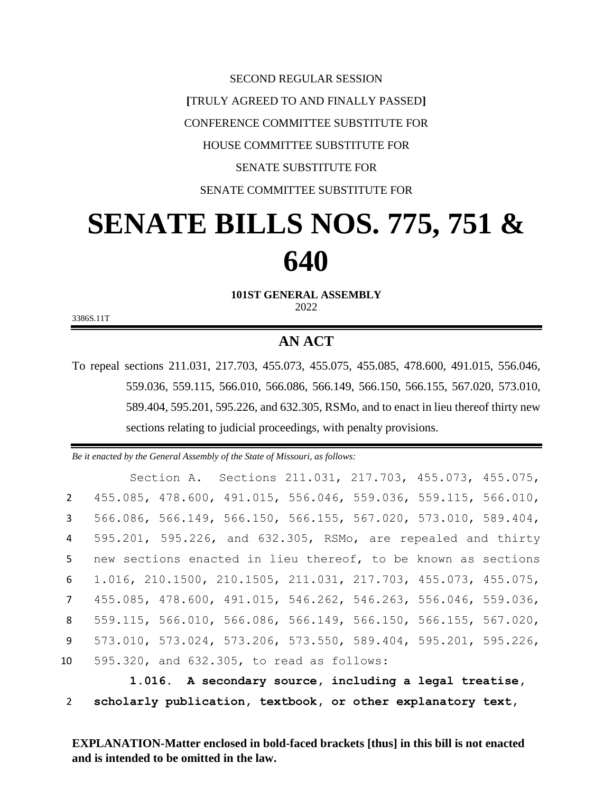## SECOND REGULAR SESSION **[**TRULY AGREED TO AND FINALLY PASSED**]** CONFERENCE COMMITTEE SUBSTITUTE FOR HOUSE COMMITTEE SUBSTITUTE FOR SENATE SUBSTITUTE FOR SENATE COMMITTEE SUBSTITUTE FOR

# **SENATE BILLS NOS. 775, 751 & 640**

**101ST GENERAL ASSEMBLY** 2022

3386S.11T

### **AN ACT**

To repeal sections 211.031, 217.703, 455.073, 455.075, 455.085, 478.600, 491.015, 556.046, 559.036, 559.115, 566.010, 566.086, 566.149, 566.150, 566.155, 567.020, 573.010, 589.404, 595.201, 595.226, and 632.305, RSMo, and to enact in lieu thereof thirty new sections relating to judicial proceedings, with penalty provisions.

*Be it enacted by the General Assembly of the State of Missouri, as follows:*

|                |                                           |  | Section A. Sections 211.031, 217.703, 455.073, 455.075,           |  |  |  |  |
|----------------|-------------------------------------------|--|-------------------------------------------------------------------|--|--|--|--|
| $2^{\circ}$    |                                           |  | 455.085, 478.600, 491.015, 556.046, 559.036, 559.115, 566.010,    |  |  |  |  |
| $\mathbf{3}$   |                                           |  | $566.086$ , 566.149, 566.150, 566.155, 567.020, 573.010, 589.404, |  |  |  |  |
| 4              |                                           |  | 595.201, 595.226, and 632.305, RSMo, are repealed and thirty      |  |  |  |  |
| 5 <sup>1</sup> |                                           |  | new sections enacted in lieu thereof, to be known as sections     |  |  |  |  |
| 6              |                                           |  | $1.016$ , 210.1500, 210.1505, 211.031, 217.703, 455.073, 455.075, |  |  |  |  |
| $7^{\circ}$    |                                           |  | 455.085, 478.600, 491.015, 546.262, 546.263, 556.046, 559.036,    |  |  |  |  |
| 8              |                                           |  | 559.115, 566.010, 566.086, 566.149, 566.150, 566.155, 567.020,    |  |  |  |  |
| 9              |                                           |  | 573.010, 573.024, 573.206, 573.550, 589.404, 595.201, 595.226,    |  |  |  |  |
| 10             | 595.320, and 632.305, to read as follows: |  |                                                                   |  |  |  |  |

1 **1.016. A secondary source, including a legal treatise,**  2 **scholarly publication, textbook, or other explanatory text,** 

**EXPLANATION-Matter enclosed in bold-faced brackets [thus] in this bill is not enacted and is intended to be omitted in the law.**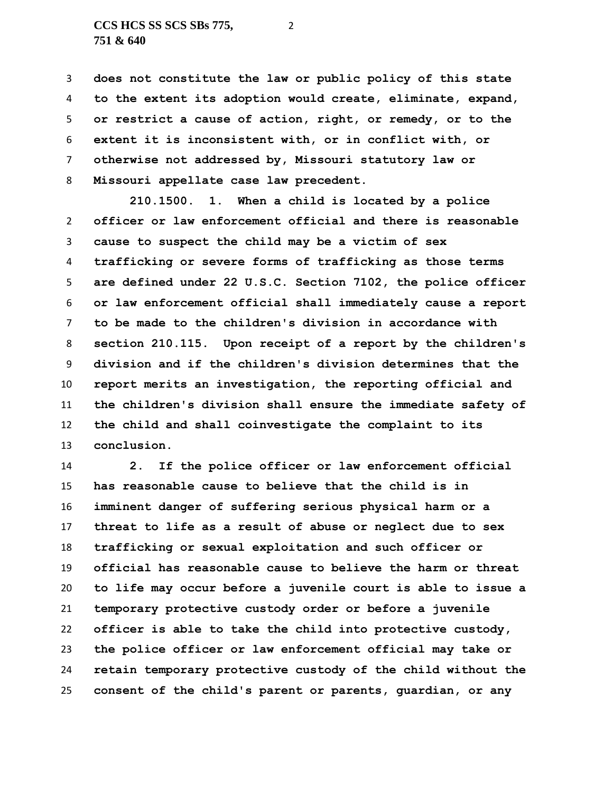**does not constitute the law or public policy of this state to the extent its adoption would create, eliminate, expand, or restrict a cause of action, right, or remedy, or to the extent it is inconsistent with, or in conflict with, or otherwise not addressed by, Missouri statutory law or Missouri appellate case law precedent.**

 **210.1500. 1. When a child is located by a police officer or law enforcement official and there is reasonable cause to suspect the child may be a victim of sex trafficking or severe forms of trafficking as those terms are defined under 22 U.S.C. Section 7102, the police officer or law enforcement official shall immediately cause a report to be made to the children's division in accordance with section 210.115. Upon receipt of a report by the children's division and if the children's division determines that the report merits an investigation, the reporting official and the children's division shall ensure the immediate safety of the child and shall coinvestigate the complaint to its conclusion.**

 **2. If the police officer or law enforcement official has reasonable cause to believe that the child is in imminent danger of suffering serious physical harm or a threat to life as a result of abuse or neglect due to sex trafficking or sexual exploitation and such officer or official has reasonable cause to believe the harm or threat to life may occur before a juvenile court is able to issue a temporary protective custody order or before a juvenile officer is able to take the child into protective custody, the police officer or law enforcement official may take or retain temporary protective custody of the child without the consent of the child's parent or parents, guardian, or any**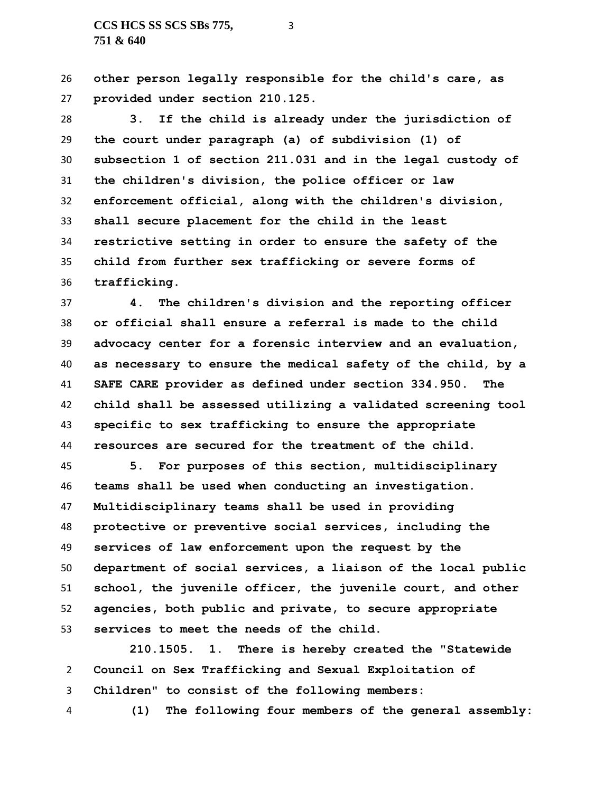**other person legally responsible for the child's care, as provided under section 210.125.**

 **3. If the child is already under the jurisdiction of the court under paragraph (a) of subdivision (1) of subsection 1 of section 211.031 and in the legal custody of the children's division, the police officer or law enforcement official, along with the children's division, shall secure placement for the child in the least restrictive setting in order to ensure the safety of the child from further sex trafficking or severe forms of trafficking.**

 **4. The children's division and the reporting officer or official shall ensure a referral is made to the child advocacy center for a forensic interview and an evaluation, as necessary to ensure the medical safety of the child, by a SAFE CARE provider as defined under section 334.950. The child shall be assessed utilizing a validated screening tool specific to sex trafficking to ensure the appropriate resources are secured for the treatment of the child.**

 **5. For purposes of this section, multidisciplinary teams shall be used when conducting an investigation. Multidisciplinary teams shall be used in providing protective or preventive social services, including the services of law enforcement upon the request by the department of social services, a liaison of the local public school, the juvenile officer, the juvenile court, and other agencies, both public and private, to secure appropriate services to meet the needs of the child.**

 **210.1505. 1. There is hereby created the "Statewide Council on Sex Trafficking and Sexual Exploitation of Children" to consist of the following members:**

**(1) The following four members of the general assembly:**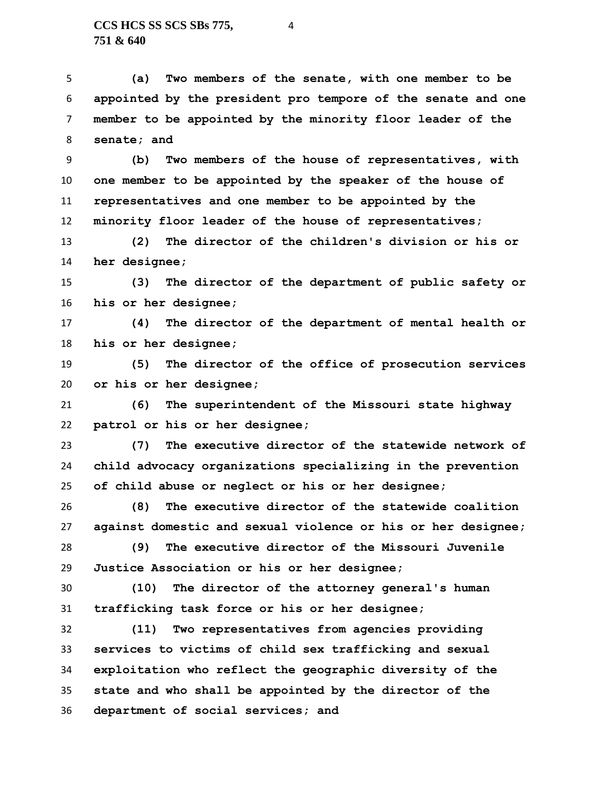**(a) Two members of the senate, with one member to be appointed by the president pro tempore of the senate and one member to be appointed by the minority floor leader of the senate; and**

 **(b) Two members of the house of representatives, with one member to be appointed by the speaker of the house of representatives and one member to be appointed by the minority floor leader of the house of representatives;**

 **(2) The director of the children's division or his or her designee;**

 **(3) The director of the department of public safety or his or her designee;**

 **(4) The director of the department of mental health or his or her designee;**

 **(5) The director of the office of prosecution services or his or her designee;**

 **(6) The superintendent of the Missouri state highway patrol or his or her designee;**

 **(7) The executive director of the statewide network of child advocacy organizations specializing in the prevention of child abuse or neglect or his or her designee;**

 **(8) The executive director of the statewide coalition against domestic and sexual violence or his or her designee;**

 **(9) The executive director of the Missouri Juvenile Justice Association or his or her designee;**

 **(10) The director of the attorney general's human trafficking task force or his or her designee;**

 **(11) Two representatives from agencies providing services to victims of child sex trafficking and sexual exploitation who reflect the geographic diversity of the state and who shall be appointed by the director of the department of social services; and**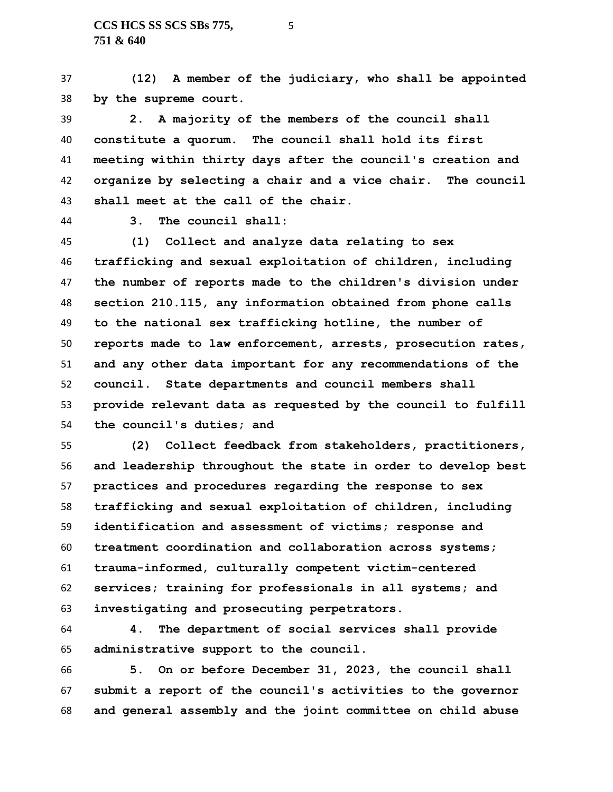**(12) A member of the judiciary, who shall be appointed by the supreme court.**

 **2. A majority of the members of the council shall constitute a quorum. The council shall hold its first meeting within thirty days after the council's creation and organize by selecting a chair and a vice chair. The council shall meet at the call of the chair.**

**3. The council shall:**

 **(1) Collect and analyze data relating to sex trafficking and sexual exploitation of children, including the number of reports made to the children's division under section 210.115, any information obtained from phone calls to the national sex trafficking hotline, the number of reports made to law enforcement, arrests, prosecution rates, and any other data important for any recommendations of the council. State departments and council members shall provide relevant data as requested by the council to fulfill the council's duties; and**

 **(2) Collect feedback from stakeholders, practitioners, and leadership throughout the state in order to develop best practices and procedures regarding the response to sex trafficking and sexual exploitation of children, including identification and assessment of victims; response and treatment coordination and collaboration across systems; trauma-informed, culturally competent victim-centered services; training for professionals in all systems; and investigating and prosecuting perpetrators.**

 **4. The department of social services shall provide administrative support to the council.**

 **5. On or before December 31, 2023, the council shall submit a report of the council's activities to the governor and general assembly and the joint committee on child abuse**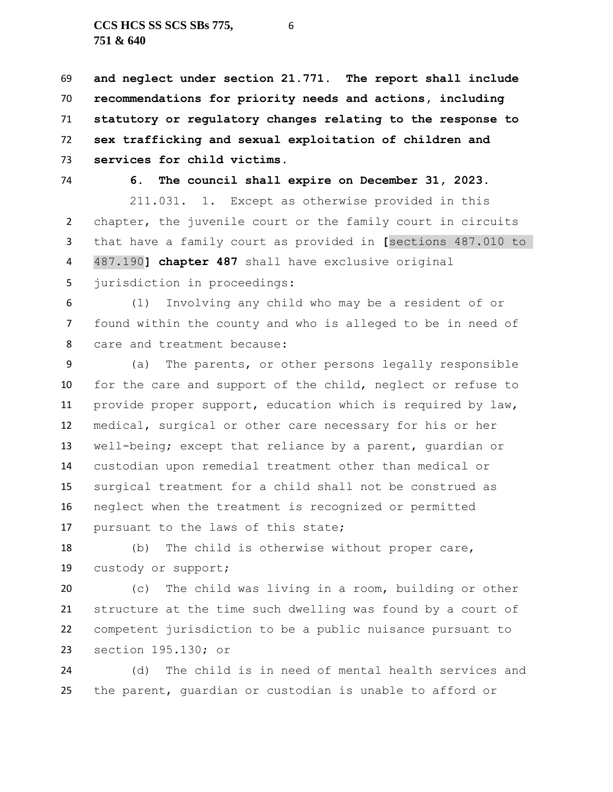**and neglect under section 21.771. The report shall include recommendations for priority needs and actions, including statutory or regulatory changes relating to the response to sex trafficking and sexual exploitation of children and services for child victims.**

#### **6. The council shall expire on December 31, 2023.**

211.031. 1. Except as otherwise provided in this chapter, the juvenile court or the family court in circuits that have a family court as provided in **[**sections 487.010 to 487.190**] chapter 487** shall have exclusive original jurisdiction in proceedings:

 (1) Involving any child who may be a resident of or found within the county and who is alleged to be in need of care and treatment because:

 (a) The parents, or other persons legally responsible 10 for the care and support of the child, neglect or refuse to provide proper support, education which is required by law, medical, surgical or other care necessary for his or her well-being; except that reliance by a parent, guardian or custodian upon remedial treatment other than medical or surgical treatment for a child shall not be construed as neglect when the treatment is recognized or permitted pursuant to the laws of this state;

 (b) The child is otherwise without proper care, custody or support;

 (c) The child was living in a room, building or other structure at the time such dwelling was found by a court of competent jurisdiction to be a public nuisance pursuant to section 195.130; or

 (d) The child is in need of mental health services and the parent, guardian or custodian is unable to afford or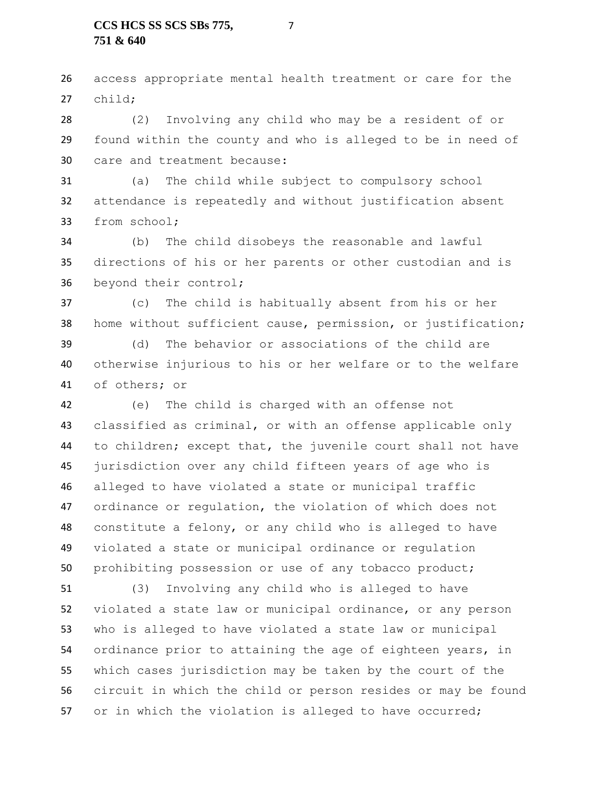access appropriate mental health treatment or care for the child;

 (2) Involving any child who may be a resident of or found within the county and who is alleged to be in need of care and treatment because:

 (a) The child while subject to compulsory school attendance is repeatedly and without justification absent from school;

 (b) The child disobeys the reasonable and lawful directions of his or her parents or other custodian and is beyond their control;

 (c) The child is habitually absent from his or her home without sufficient cause, permission, or justification;

 (d) The behavior or associations of the child are otherwise injurious to his or her welfare or to the welfare of others; or

 (e) The child is charged with an offense not classified as criminal, or with an offense applicable only to children; except that, the juvenile court shall not have jurisdiction over any child fifteen years of age who is alleged to have violated a state or municipal traffic ordinance or regulation, the violation of which does not constitute a felony, or any child who is alleged to have violated a state or municipal ordinance or regulation prohibiting possession or use of any tobacco product;

 (3) Involving any child who is alleged to have violated a state law or municipal ordinance, or any person who is alleged to have violated a state law or municipal ordinance prior to attaining the age of eighteen years, in which cases jurisdiction may be taken by the court of the circuit in which the child or person resides or may be found or in which the violation is alleged to have occurred;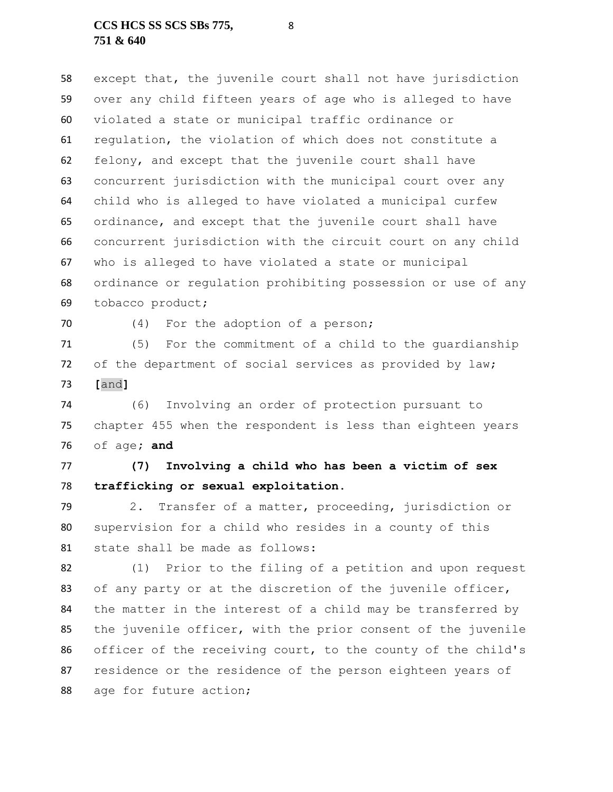except that, the juvenile court shall not have jurisdiction over any child fifteen years of age who is alleged to have violated a state or municipal traffic ordinance or regulation, the violation of which does not constitute a felony, and except that the juvenile court shall have concurrent jurisdiction with the municipal court over any child who is alleged to have violated a municipal curfew ordinance, and except that the juvenile court shall have concurrent jurisdiction with the circuit court on any child who is alleged to have violated a state or municipal ordinance or regulation prohibiting possession or use of any tobacco product;

70 (4) For the adoption of a person;

 (5) For the commitment of a child to the guardianship of the department of social services as provided by law; **[**and**]**

 (6) Involving an order of protection pursuant to chapter 455 when the respondent is less than eighteen years of age**; and**

 **(7) Involving a child who has been a victim of sex trafficking or sexual exploitation**.

 2. Transfer of a matter, proceeding, jurisdiction or supervision for a child who resides in a county of this state shall be made as follows:

 (1) Prior to the filing of a petition and upon request 83 of any party or at the discretion of the juvenile officer, 84 the matter in the interest of a child may be transferred by the juvenile officer, with the prior consent of the juvenile officer of the receiving court, to the county of the child's residence or the residence of the person eighteen years of 88 age for future action;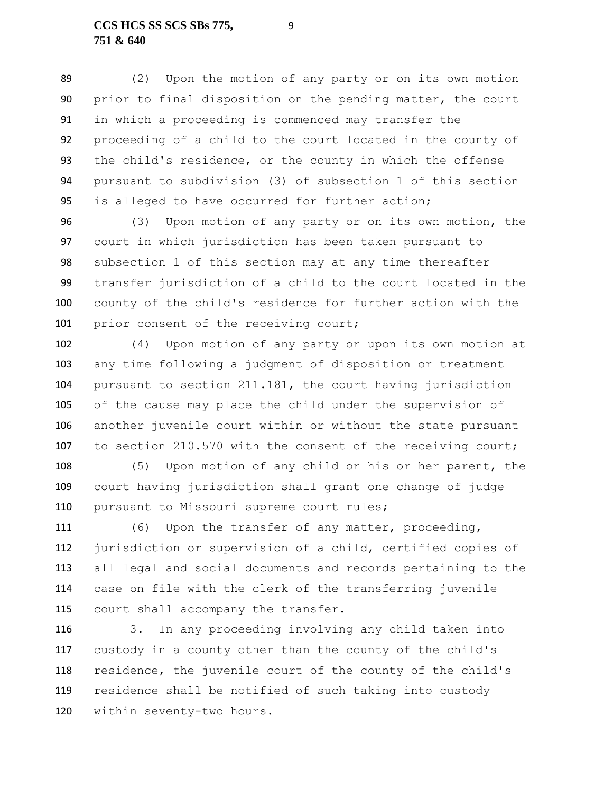(2) Upon the motion of any party or on its own motion prior to final disposition on the pending matter, the court in which a proceeding is commenced may transfer the proceeding of a child to the court located in the county of the child's residence, or the county in which the offense pursuant to subdivision (3) of subsection 1 of this section is alleged to have occurred for further action;

 (3) Upon motion of any party or on its own motion, the court in which jurisdiction has been taken pursuant to subsection 1 of this section may at any time thereafter transfer jurisdiction of a child to the court located in the county of the child's residence for further action with the 101 prior consent of the receiving court;

 (4) Upon motion of any party or upon its own motion at any time following a judgment of disposition or treatment pursuant to section 211.181, the court having jurisdiction of the cause may place the child under the supervision of another juvenile court within or without the state pursuant 107 to section 210.570 with the consent of the receiving court;

 (5) Upon motion of any child or his or her parent, the court having jurisdiction shall grant one change of judge pursuant to Missouri supreme court rules;

 (6) Upon the transfer of any matter, proceeding, jurisdiction or supervision of a child, certified copies of all legal and social documents and records pertaining to the case on file with the clerk of the transferring juvenile court shall accompany the transfer.

 3. In any proceeding involving any child taken into custody in a county other than the county of the child's residence, the juvenile court of the county of the child's residence shall be notified of such taking into custody within seventy-two hours.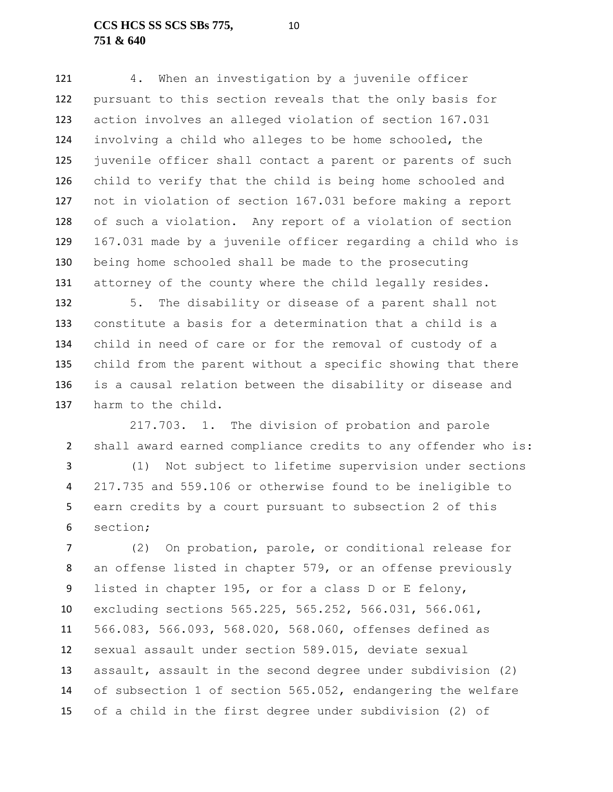#### **CCS HCS SS SCS SBs 775,** 10 **751 & 640**

121 4. When an investigation by a juvenile officer pursuant to this section reveals that the only basis for action involves an alleged violation of section 167.031 involving a child who alleges to be home schooled, the juvenile officer shall contact a parent or parents of such child to verify that the child is being home schooled and not in violation of section 167.031 before making a report of such a violation. Any report of a violation of section 167.031 made by a juvenile officer regarding a child who is being home schooled shall be made to the prosecuting attorney of the county where the child legally resides.

 5. The disability or disease of a parent shall not constitute a basis for a determination that a child is a child in need of care or for the removal of custody of a child from the parent without a specific showing that there is a causal relation between the disability or disease and harm to the child.

217.703. 1. The division of probation and parole shall award earned compliance credits to any offender who is:

 (1) Not subject to lifetime supervision under sections 217.735 and 559.106 or otherwise found to be ineligible to earn credits by a court pursuant to subsection 2 of this section;

 (2) On probation, parole, or conditional release for an offense listed in chapter 579, or an offense previously listed in chapter 195, or for a class D or E felony, excluding sections 565.225, 565.252, 566.031, 566.061, 566.083, 566.093, 568.020, 568.060, offenses defined as sexual assault under section 589.015, deviate sexual assault, assault in the second degree under subdivision (2) of subsection 1 of section 565.052, endangering the welfare of a child in the first degree under subdivision (2) of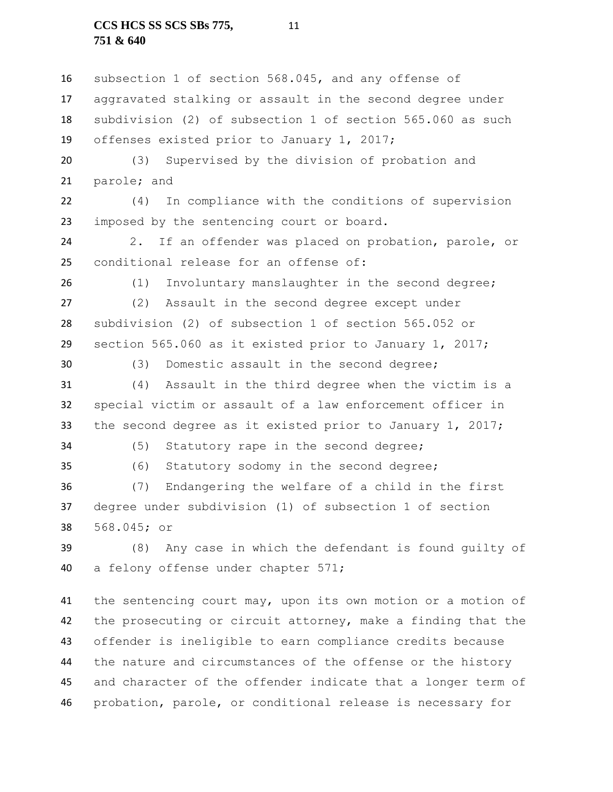#### **CCS HCS SS SCS SBs 775,** 11 **751 & 640**

 subsection 1 of section 568.045, and any offense of aggravated stalking or assault in the second degree under subdivision (2) of subsection 1 of section 565.060 as such offenses existed prior to January 1, 2017; (3) Supervised by the division of probation and parole; and (4) In compliance with the conditions of supervision 23 imposed by the sentencing court or board. 2. If an offender was placed on probation, parole, or conditional release for an offense of: (1) Involuntary manslaughter in the second degree; (2) Assault in the second degree except under subdivision (2) of subsection 1 of section 565.052 or section 565.060 as it existed prior to January 1, 2017; (3) Domestic assault in the second degree; (4) Assault in the third degree when the victim is a special victim or assault of a law enforcement officer in the second degree as it existed prior to January 1, 2017; (5) Statutory rape in the second degree; (6) Statutory sodomy in the second degree; (7) Endangering the welfare of a child in the first degree under subdivision (1) of subsection 1 of section 568.045; or (8) Any case in which the defendant is found guilty of a felony offense under chapter 571; 41 the sentencing court may, upon its own motion or a motion of the prosecuting or circuit attorney, make a finding that the offender is ineligible to earn compliance credits because the nature and circumstances of the offense or the history and character of the offender indicate that a longer term of probation, parole, or conditional release is necessary for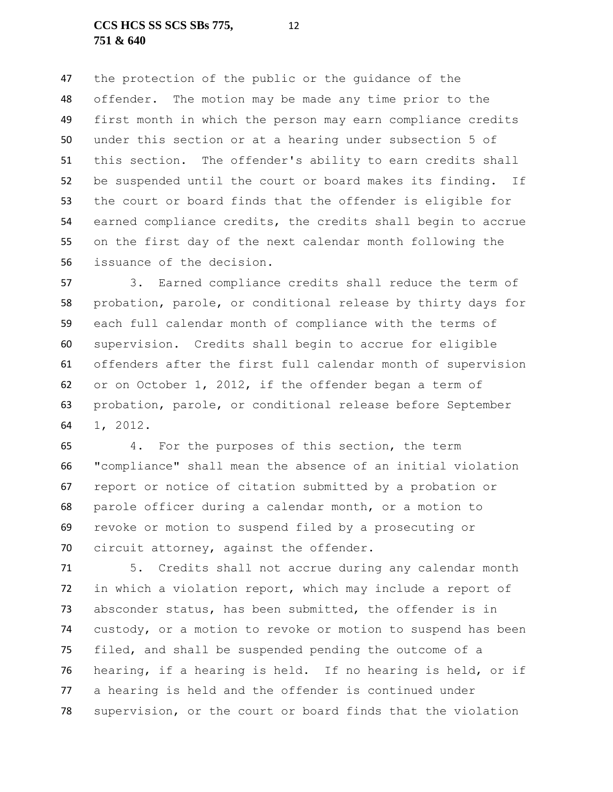#### **CCS HCS SS SCS SBs 775,** 12 **751 & 640**

 the protection of the public or the guidance of the offender. The motion may be made any time prior to the first month in which the person may earn compliance credits under this section or at a hearing under subsection 5 of this section. The offender's ability to earn credits shall be suspended until the court or board makes its finding. If the court or board finds that the offender is eligible for earned compliance credits, the credits shall begin to accrue on the first day of the next calendar month following the issuance of the decision.

 3. Earned compliance credits shall reduce the term of probation, parole, or conditional release by thirty days for each full calendar month of compliance with the terms of supervision. Credits shall begin to accrue for eligible offenders after the first full calendar month of supervision or on October 1, 2012, if the offender began a term of probation, parole, or conditional release before September 1, 2012.

 4. For the purposes of this section, the term "compliance" shall mean the absence of an initial violation report or notice of citation submitted by a probation or parole officer during a calendar month, or a motion to revoke or motion to suspend filed by a prosecuting or circuit attorney, against the offender.

 5. Credits shall not accrue during any calendar month in which a violation report, which may include a report of absconder status, has been submitted, the offender is in custody, or a motion to revoke or motion to suspend has been filed, and shall be suspended pending the outcome of a hearing, if a hearing is held. If no hearing is held, or if a hearing is held and the offender is continued under supervision, or the court or board finds that the violation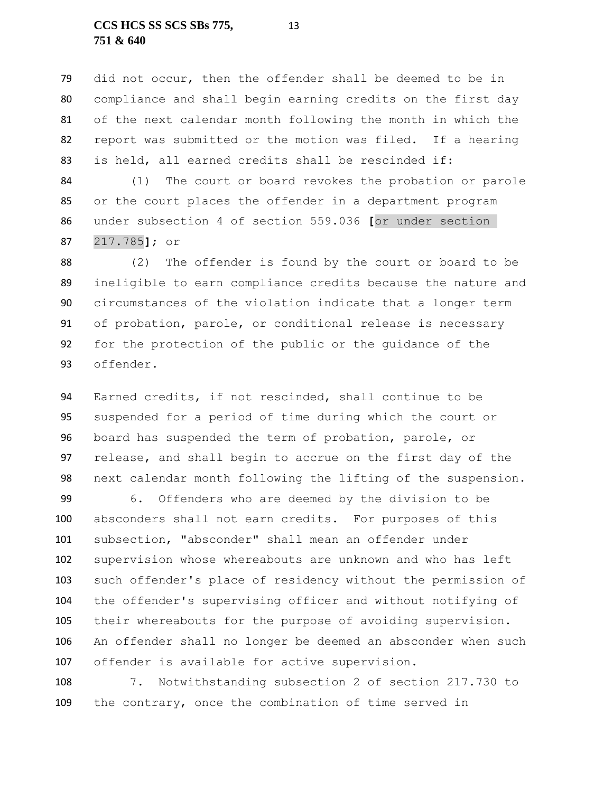#### **CCS HCS SS SCS SBs 775,** 13 **751 & 640**

 did not occur, then the offender shall be deemed to be in compliance and shall begin earning credits on the first day of the next calendar month following the month in which the report was submitted or the motion was filed. If a hearing is held, all earned credits shall be rescinded if:

 (1) The court or board revokes the probation or parole or the court places the offender in a department program under subsection 4 of section 559.036 **[**or under section 217.785**]**; or

 (2) The offender is found by the court or board to be ineligible to earn compliance credits because the nature and circumstances of the violation indicate that a longer term of probation, parole, or conditional release is necessary for the protection of the public or the guidance of the offender.

 Earned credits, if not rescinded, shall continue to be suspended for a period of time during which the court or board has suspended the term of probation, parole, or release, and shall begin to accrue on the first day of the next calendar month following the lifting of the suspension.

 6. Offenders who are deemed by the division to be absconders shall not earn credits. For purposes of this subsection, "absconder" shall mean an offender under supervision whose whereabouts are unknown and who has left such offender's place of residency without the permission of the offender's supervising officer and without notifying of their whereabouts for the purpose of avoiding supervision. An offender shall no longer be deemed an absconder when such offender is available for active supervision.

 7. Notwithstanding subsection 2 of section 217.730 to the contrary, once the combination of time served in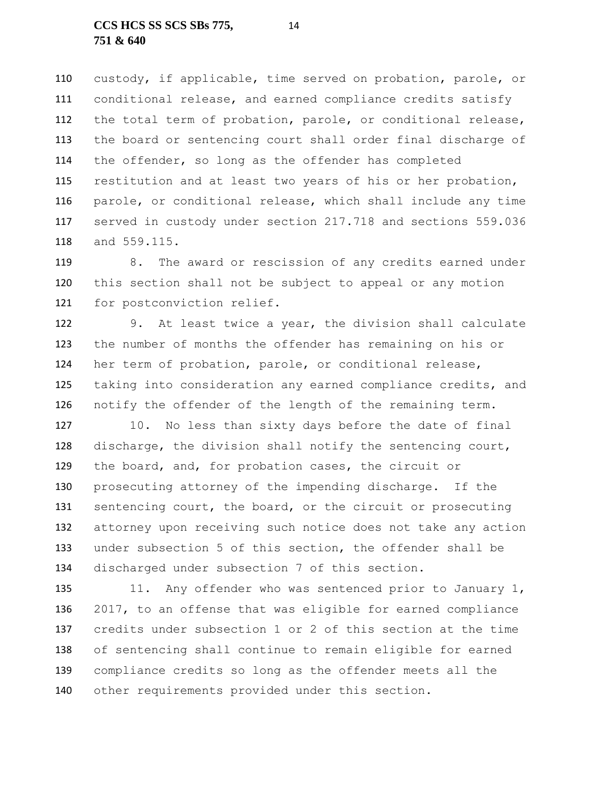custody, if applicable, time served on probation, parole, or conditional release, and earned compliance credits satisfy the total term of probation, parole, or conditional release, the board or sentencing court shall order final discharge of the offender, so long as the offender has completed restitution and at least two years of his or her probation, parole, or conditional release, which shall include any time served in custody under section 217.718 and sections 559.036 and 559.115.

 8. The award or rescission of any credits earned under this section shall not be subject to appeal or any motion for postconviction relief.

 9. At least twice a year, the division shall calculate the number of months the offender has remaining on his or her term of probation, parole, or conditional release, taking into consideration any earned compliance credits, and notify the offender of the length of the remaining term.

 10. No less than sixty days before the date of final 128 discharge, the division shall notify the sentencing court, the board, and, for probation cases, the circuit or prosecuting attorney of the impending discharge. If the sentencing court, the board, or the circuit or prosecuting attorney upon receiving such notice does not take any action under subsection 5 of this section, the offender shall be discharged under subsection 7 of this section.

 11. Any offender who was sentenced prior to January 1, 2017, to an offense that was eligible for earned compliance credits under subsection 1 or 2 of this section at the time of sentencing shall continue to remain eligible for earned compliance credits so long as the offender meets all the other requirements provided under this section.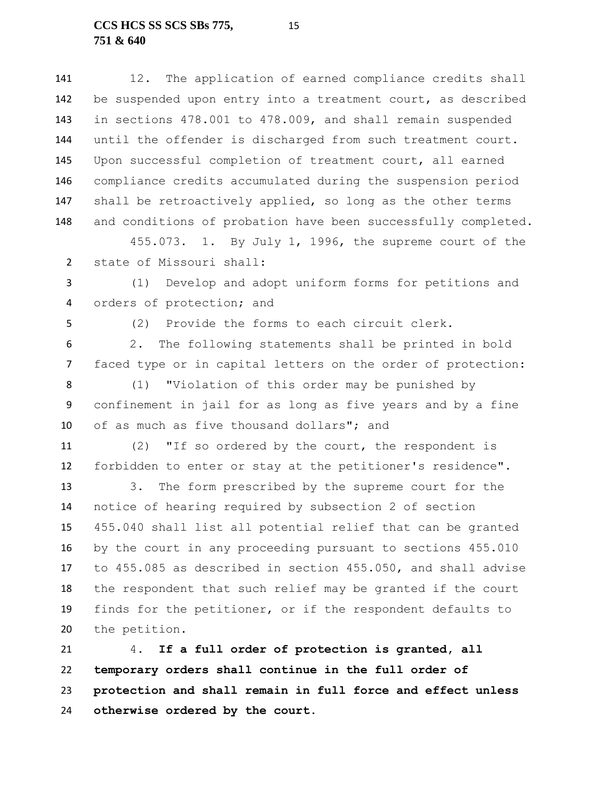141 12. The application of earned compliance credits shall be suspended upon entry into a treatment court, as described in sections 478.001 to 478.009, and shall remain suspended until the offender is discharged from such treatment court. Upon successful completion of treatment court, all earned compliance credits accumulated during the suspension period 147 shall be retroactively applied, so long as the other terms and conditions of probation have been successfully completed.

455.073. 1. By July 1, 1996, the supreme court of the state of Missouri shall:

 (1) Develop and adopt uniform forms for petitions and orders of protection; and

(2) Provide the forms to each circuit clerk.

 2. The following statements shall be printed in bold faced type or in capital letters on the order of protection:

 (1) "Violation of this order may be punished by confinement in jail for as long as five years and by a fine of as much as five thousand dollars"; and

 (2) "If so ordered by the court, the respondent is forbidden to enter or stay at the petitioner's residence".

 3. The form prescribed by the supreme court for the notice of hearing required by subsection 2 of section 455.040 shall list all potential relief that can be granted by the court in any proceeding pursuant to sections 455.010 to 455.085 as described in section 455.050, and shall advise the respondent that such relief may be granted if the court finds for the petitioner, or if the respondent defaults to the petition.

 4. **If a full order of protection is granted, all temporary orders shall continue in the full order of protection and shall remain in full force and effect unless otherwise ordered by the court.**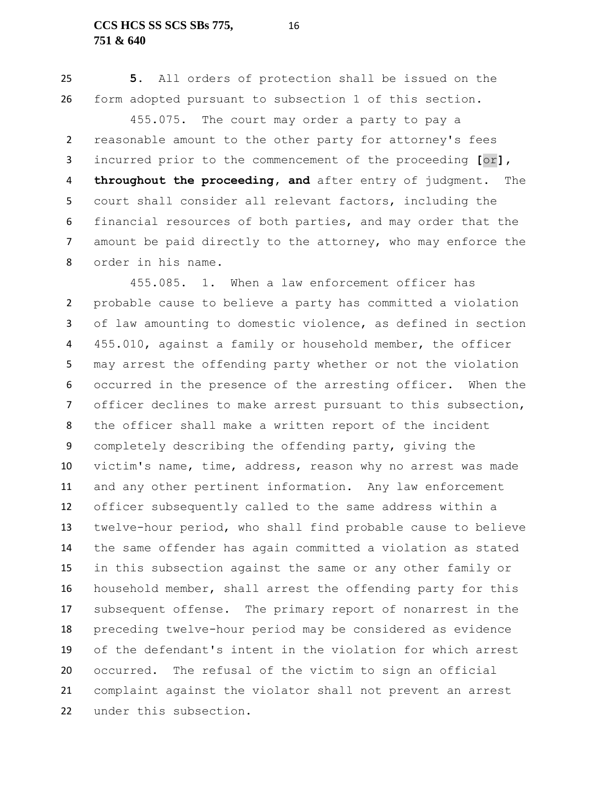**CCS HCS SS SCS SBs 775,** 16 **751 & 640**

 **5.** All orders of protection shall be issued on the form adopted pursuant to subsection 1 of this section.

 455.075. The court may order a party to pay a reasonable amount to the other party for attorney's fees incurred prior to the commencement of the proceeding **[**or**], throughout the proceeding, and** after entry of judgment. The court shall consider all relevant factors, including the financial resources of both parties, and may order that the amount be paid directly to the attorney, who may enforce the order in his name.

 455.085. 1. When a law enforcement officer has probable cause to believe a party has committed a violation of law amounting to domestic violence, as defined in section 455.010, against a family or household member, the officer may arrest the offending party whether or not the violation occurred in the presence of the arresting officer. When the officer declines to make arrest pursuant to this subsection, the officer shall make a written report of the incident completely describing the offending party, giving the victim's name, time, address, reason why no arrest was made and any other pertinent information. Any law enforcement officer subsequently called to the same address within a twelve-hour period, who shall find probable cause to believe the same offender has again committed a violation as stated in this subsection against the same or any other family or household member, shall arrest the offending party for this subsequent offense. The primary report of nonarrest in the preceding twelve-hour period may be considered as evidence of the defendant's intent in the violation for which arrest occurred. The refusal of the victim to sign an official complaint against the violator shall not prevent an arrest under this subsection.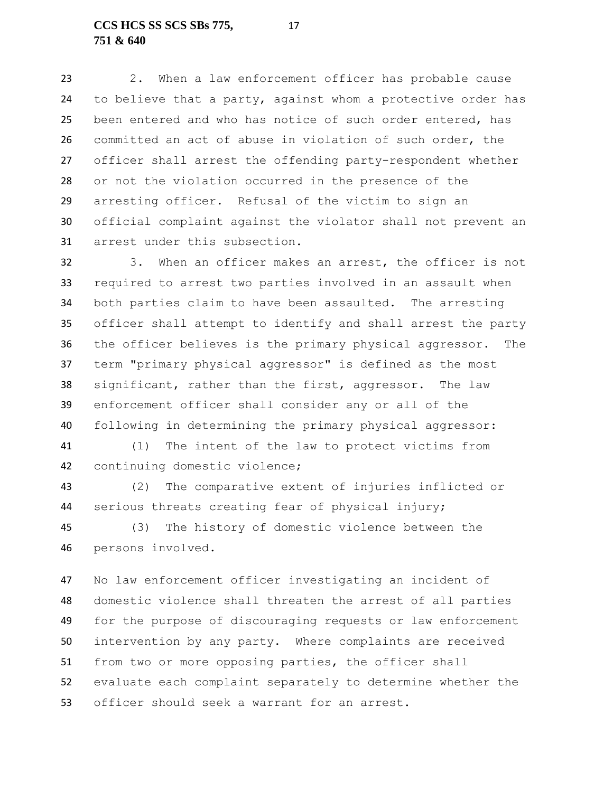2. When a law enforcement officer has probable cause to believe that a party, against whom a protective order has been entered and who has notice of such order entered, has committed an act of abuse in violation of such order, the officer shall arrest the offending party-respondent whether or not the violation occurred in the presence of the arresting officer. Refusal of the victim to sign an official complaint against the violator shall not prevent an arrest under this subsection.

 3. When an officer makes an arrest, the officer is not required to arrest two parties involved in an assault when both parties claim to have been assaulted. The arresting officer shall attempt to identify and shall arrest the party the officer believes is the primary physical aggressor. The term "primary physical aggressor" is defined as the most significant, rather than the first, aggressor. The law enforcement officer shall consider any or all of the following in determining the primary physical aggressor:

 (1) The intent of the law to protect victims from continuing domestic violence;

 (2) The comparative extent of injuries inflicted or serious threats creating fear of physical injury;

 (3) The history of domestic violence between the persons involved.

 No law enforcement officer investigating an incident of domestic violence shall threaten the arrest of all parties for the purpose of discouraging requests or law enforcement intervention by any party. Where complaints are received from two or more opposing parties, the officer shall evaluate each complaint separately to determine whether the officer should seek a warrant for an arrest.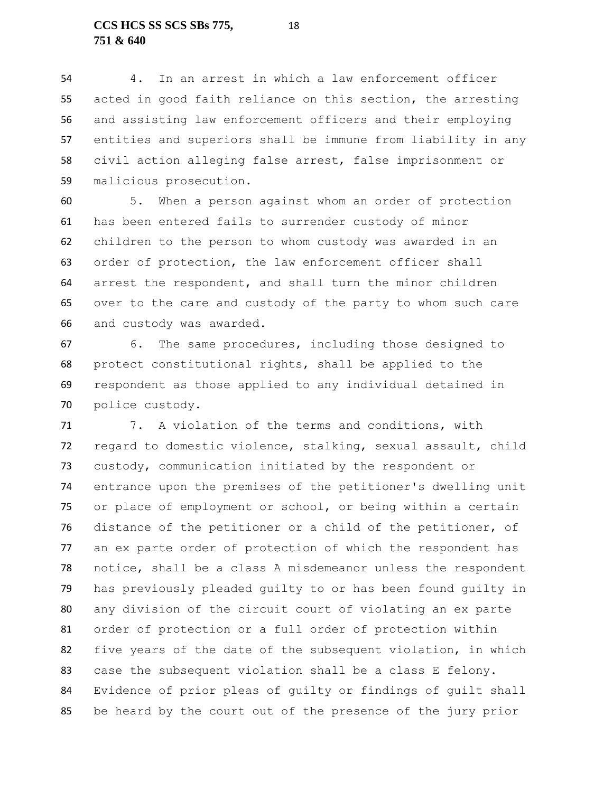4. In an arrest in which a law enforcement officer acted in good faith reliance on this section, the arresting and assisting law enforcement officers and their employing entities and superiors shall be immune from liability in any civil action alleging false arrest, false imprisonment or malicious prosecution.

 5. When a person against whom an order of protection has been entered fails to surrender custody of minor children to the person to whom custody was awarded in an order of protection, the law enforcement officer shall arrest the respondent, and shall turn the minor children over to the care and custody of the party to whom such care and custody was awarded.

 6. The same procedures, including those designed to protect constitutional rights, shall be applied to the respondent as those applied to any individual detained in police custody.

 7. A violation of the terms and conditions, with regard to domestic violence, stalking, sexual assault, child custody, communication initiated by the respondent or entrance upon the premises of the petitioner's dwelling unit or place of employment or school, or being within a certain distance of the petitioner or a child of the petitioner, of an ex parte order of protection of which the respondent has notice, shall be a class A misdemeanor unless the respondent has previously pleaded guilty to or has been found guilty in any division of the circuit court of violating an ex parte order of protection or a full order of protection within five years of the date of the subsequent violation, in which case the subsequent violation shall be a class E felony. Evidence of prior pleas of guilty or findings of guilt shall be heard by the court out of the presence of the jury prior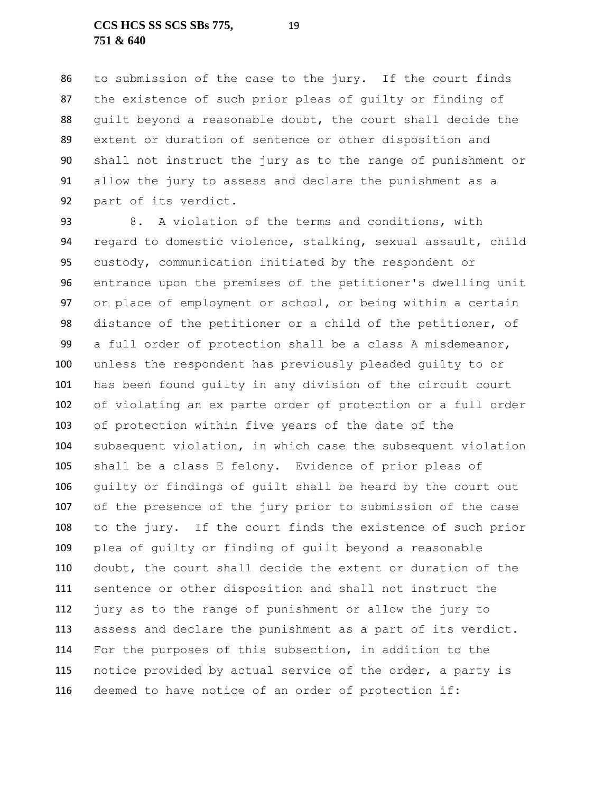#### **CCS HCS SS SCS SBs 775,** 19 **751 & 640**

 to submission of the case to the jury. If the court finds the existence of such prior pleas of guilty or finding of guilt beyond a reasonable doubt, the court shall decide the extent or duration of sentence or other disposition and shall not instruct the jury as to the range of punishment or allow the jury to assess and declare the punishment as a part of its verdict.

93 8. A violation of the terms and conditions, with regard to domestic violence, stalking, sexual assault, child custody, communication initiated by the respondent or entrance upon the premises of the petitioner's dwelling unit or place of employment or school, or being within a certain distance of the petitioner or a child of the petitioner, of a full order of protection shall be a class A misdemeanor, unless the respondent has previously pleaded guilty to or has been found guilty in any division of the circuit court of violating an ex parte order of protection or a full order of protection within five years of the date of the subsequent violation, in which case the subsequent violation shall be a class E felony. Evidence of prior pleas of guilty or findings of guilt shall be heard by the court out of the presence of the jury prior to submission of the case to the jury. If the court finds the existence of such prior plea of guilty or finding of guilt beyond a reasonable doubt, the court shall decide the extent or duration of the sentence or other disposition and shall not instruct the jury as to the range of punishment or allow the jury to assess and declare the punishment as a part of its verdict. For the purposes of this subsection, in addition to the notice provided by actual service of the order, a party is deemed to have notice of an order of protection if**:**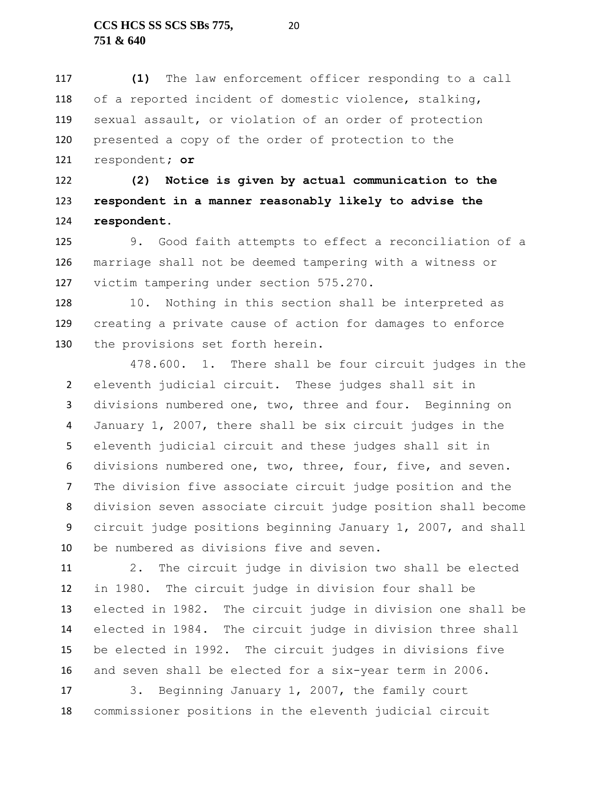**(1)** The law enforcement officer responding to a call of a reported incident of domestic violence, stalking, sexual assault, or violation of an order of protection presented a copy of the order of protection to the respondent**; or**

 **(2) Notice is given by actual communication to the respondent in a manner reasonably likely to advise the respondent**.

 9. Good faith attempts to effect a reconciliation of a marriage shall not be deemed tampering with a witness or victim tampering under section 575.270.

 10. Nothing in this section shall be interpreted as creating a private cause of action for damages to enforce the provisions set forth herein.

 478.600. 1. There shall be four circuit judges in the eleventh judicial circuit. These judges shall sit in divisions numbered one, two, three and four. Beginning on January 1, 2007, there shall be six circuit judges in the eleventh judicial circuit and these judges shall sit in divisions numbered one, two, three, four, five, and seven. The division five associate circuit judge position and the division seven associate circuit judge position shall become circuit judge positions beginning January 1, 2007, and shall be numbered as divisions five and seven.

 2. The circuit judge in division two shall be elected in 1980. The circuit judge in division four shall be elected in 1982. The circuit judge in division one shall be elected in 1984. The circuit judge in division three shall be elected in 1992. The circuit judges in divisions five and seven shall be elected for a six-year term in 2006.

 3. Beginning January 1, 2007, the family court commissioner positions in the eleventh judicial circuit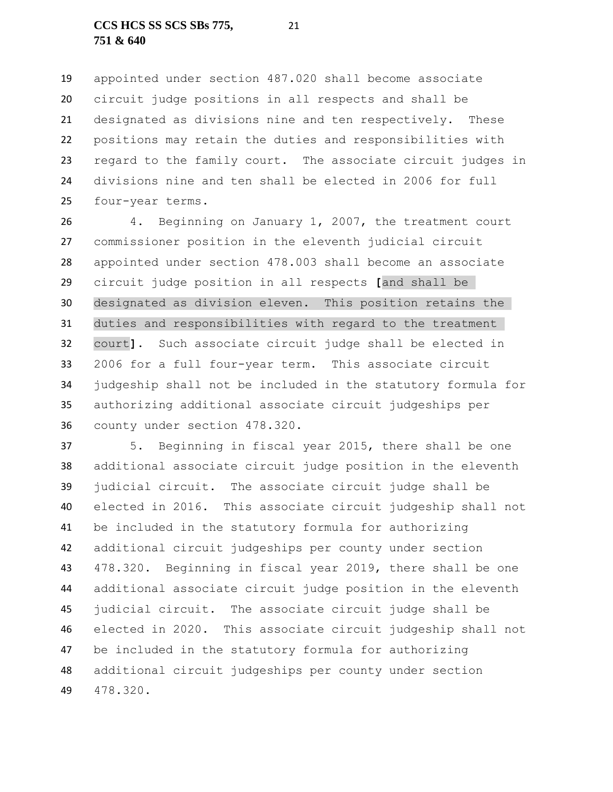#### **CCS HCS SS SCS SBs 775,** 21 **751 & 640**

 appointed under section 487.020 shall become associate circuit judge positions in all respects and shall be designated as divisions nine and ten respectively. These positions may retain the duties and responsibilities with regard to the family court. The associate circuit judges in divisions nine and ten shall be elected in 2006 for full four-year terms.

 4. Beginning on January 1, 2007, the treatment court commissioner position in the eleventh judicial circuit appointed under section 478.003 shall become an associate circuit judge position in all respects **[**and shall be designated as division eleven. This position retains the duties and responsibilities with regard to the treatment court**]**. Such associate circuit judge shall be elected in 2006 for a full four-year term. This associate circuit judgeship shall not be included in the statutory formula for authorizing additional associate circuit judgeships per county under section 478.320.

 5. Beginning in fiscal year 2015, there shall be one additional associate circuit judge position in the eleventh judicial circuit. The associate circuit judge shall be elected in 2016. This associate circuit judgeship shall not be included in the statutory formula for authorizing additional circuit judgeships per county under section 478.320. Beginning in fiscal year 2019, there shall be one additional associate circuit judge position in the eleventh judicial circuit. The associate circuit judge shall be elected in 2020. This associate circuit judgeship shall not be included in the statutory formula for authorizing additional circuit judgeships per county under section 478.320.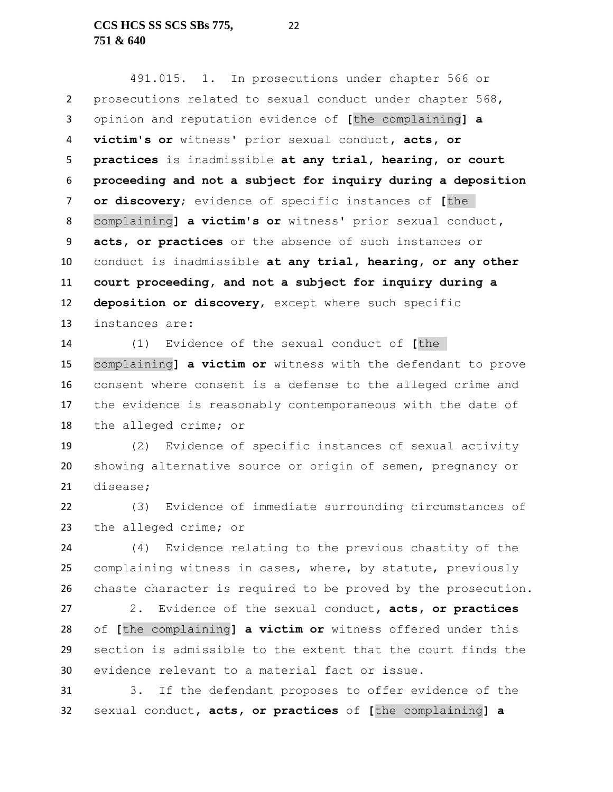#### **CCS HCS SS SCS SBs 775,** 22 **751 & 640**

 491.015. 1. In prosecutions under chapter 566 or prosecutions related to sexual conduct under chapter 568, opinion and reputation evidence of **[**the complaining**] a victim's or** witness' prior sexual conduct**, acts, or practices** is inadmissible **at any trial, hearing, or court proceeding and not a subject for inquiry during a deposition or discovery**; evidence of specific instances of **[**the complaining**] a victim's or** witness' prior sexual conduct**, acts, or practices** or the absence of such instances or conduct is inadmissible **at any trial, hearing, or any other court proceeding, and not a subject for inquiry during a deposition or discovery**, except where such specific instances are:

 (1) Evidence of the sexual conduct of **[**the complaining**] a victim or** witness with the defendant to prove consent where consent is a defense to the alleged crime and the evidence is reasonably contemporaneous with the date of the alleged crime; or

 (2) Evidence of specific instances of sexual activity showing alternative source or origin of semen, pregnancy or disease;

 (3) Evidence of immediate surrounding circumstances of the alleged crime; or

 (4) Evidence relating to the previous chastity of the complaining witness in cases, where, by statute, previously chaste character is required to be proved by the prosecution.

 2. Evidence of the sexual conduct**, acts, or practices** of **[**the complaining**] a victim or** witness offered under this section is admissible to the extent that the court finds the evidence relevant to a material fact or issue.

 3. If the defendant proposes to offer evidence of the sexual conduct**, acts, or practices** of **[**the complaining**] a**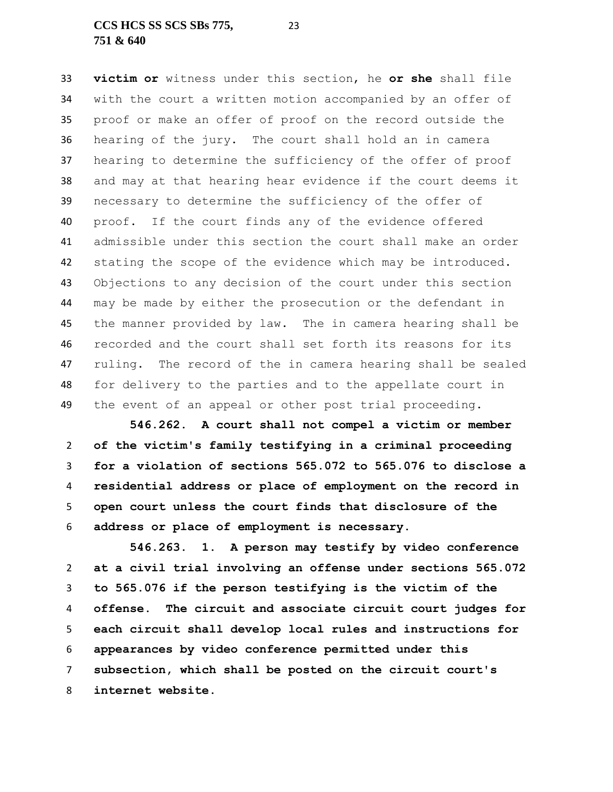**victim or** witness under this section, he **or she** shall file with the court a written motion accompanied by an offer of proof or make an offer of proof on the record outside the hearing of the jury. The court shall hold an in camera hearing to determine the sufficiency of the offer of proof and may at that hearing hear evidence if the court deems it necessary to determine the sufficiency of the offer of proof. If the court finds any of the evidence offered admissible under this section the court shall make an order stating the scope of the evidence which may be introduced. Objections to any decision of the court under this section may be made by either the prosecution or the defendant in the manner provided by law. The in camera hearing shall be recorded and the court shall set forth its reasons for its ruling. The record of the in camera hearing shall be sealed for delivery to the parties and to the appellate court in the event of an appeal or other post trial proceeding.

 **546.262. A court shall not compel a victim or member of the victim's family testifying in a criminal proceeding for a violation of sections 565.072 to 565.076 to disclose a residential address or place of employment on the record in open court unless the court finds that disclosure of the address or place of employment is necessary.**

 **546.263. 1. A person may testify by video conference at a civil trial involving an offense under sections 565.072 to 565.076 if the person testifying is the victim of the offense. The circuit and associate circuit court judges for each circuit shall develop local rules and instructions for appearances by video conference permitted under this subsection, which shall be posted on the circuit court's internet website.**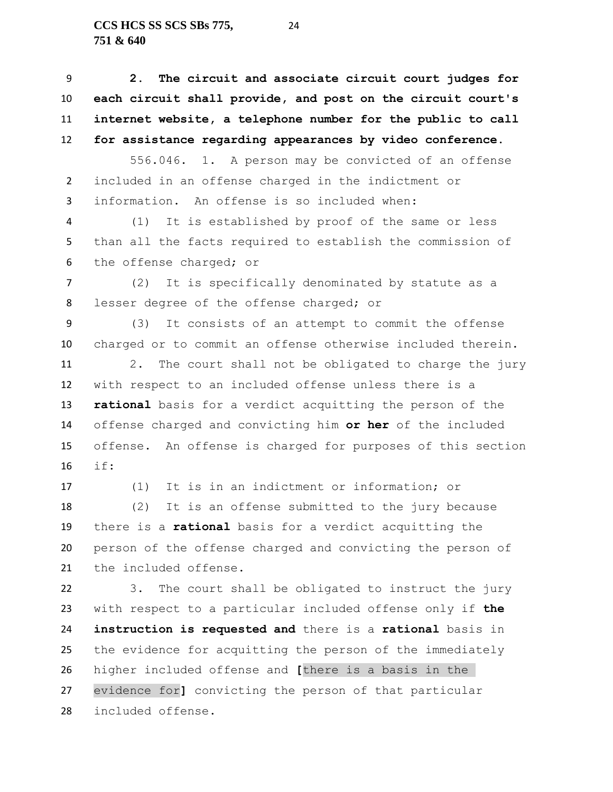**2. The circuit and associate circuit court judges for each circuit shall provide, and post on the circuit court's internet website, a telephone number for the public to call for assistance regarding appearances by video conference.**

556.046. 1. A person may be convicted of an offense included in an offense charged in the indictment or information. An offense is so included when:

 (1) It is established by proof of the same or less than all the facts required to establish the commission of the offense charged; or

 (2) It is specifically denominated by statute as a lesser degree of the offense charged; or

 (3) It consists of an attempt to commit the offense charged or to commit an offense otherwise included therein.

 2. The court shall not be obligated to charge the jury with respect to an included offense unless there is a **rational** basis for a verdict acquitting the person of the offense charged and convicting him **or her** of the included offense. An offense is charged for purposes of this section if:

(1) It is in an indictment or information; or

 (2) It is an offense submitted to the jury because there is a **rational** basis for a verdict acquitting the person of the offense charged and convicting the person of the included offense.

 3. The court shall be obligated to instruct the jury with respect to a particular included offense only if **the instruction is requested and** there is a **rational** basis in the evidence for acquitting the person of the immediately higher included offense and **[**there is a basis in the evidence for**]** convicting the person of that particular included offense.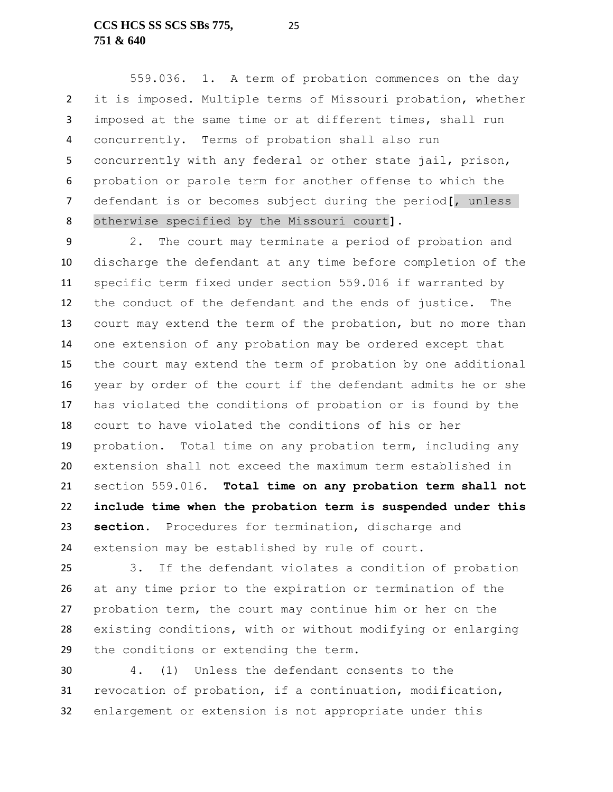#### **CCS HCS SS SCS SBs 775,** 25 **751 & 640**

559.036. 1. A term of probation commences on the day it is imposed. Multiple terms of Missouri probation, whether imposed at the same time or at different times, shall run concurrently. Terms of probation shall also run concurrently with any federal or other state jail, prison, probation or parole term for another offense to which the defendant is or becomes subject during the period**[**, unless otherwise specified by the Missouri court**]**.

 2. The court may terminate a period of probation and discharge the defendant at any time before completion of the specific term fixed under section 559.016 if warranted by the conduct of the defendant and the ends of justice. The court may extend the term of the probation, but no more than one extension of any probation may be ordered except that the court may extend the term of probation by one additional year by order of the court if the defendant admits he or she has violated the conditions of probation or is found by the court to have violated the conditions of his or her probation. Total time on any probation term, including any extension shall not exceed the maximum term established in section 559.016. **Total time on any probation term shall not include time when the probation term is suspended under this section.** Procedures for termination, discharge and extension may be established by rule of court.

 3. If the defendant violates a condition of probation at any time prior to the expiration or termination of the probation term, the court may continue him or her on the existing conditions, with or without modifying or enlarging the conditions or extending the term.

 4. (1) Unless the defendant consents to the revocation of probation, if a continuation, modification, enlargement or extension is not appropriate under this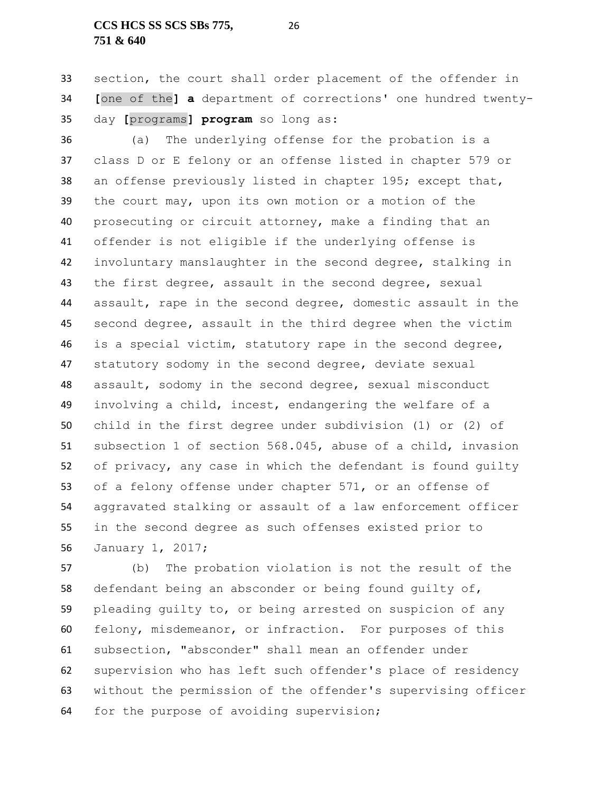section, the court shall order placement of the offender in **[**one of the**] a** department of corrections' one hundred twenty-day **[**programs**] program** so long as:

 (a) The underlying offense for the probation is a class D or E felony or an offense listed in chapter 579 or an offense previously listed in chapter 195; except that, the court may, upon its own motion or a motion of the prosecuting or circuit attorney, make a finding that an offender is not eligible if the underlying offense is involuntary manslaughter in the second degree, stalking in the first degree, assault in the second degree, sexual assault, rape in the second degree, domestic assault in the second degree, assault in the third degree when the victim is a special victim, statutory rape in the second degree, statutory sodomy in the second degree, deviate sexual assault, sodomy in the second degree, sexual misconduct involving a child, incest, endangering the welfare of a child in the first degree under subdivision (1) or (2) of subsection 1 of section 568.045, abuse of a child, invasion of privacy, any case in which the defendant is found guilty of a felony offense under chapter 571, or an offense of aggravated stalking or assault of a law enforcement officer in the second degree as such offenses existed prior to January 1, 2017;

 (b) The probation violation is not the result of the defendant being an absconder or being found guilty of, pleading guilty to, or being arrested on suspicion of any felony, misdemeanor, or infraction. For purposes of this subsection, "absconder" shall mean an offender under supervision who has left such offender's place of residency without the permission of the offender's supervising officer for the purpose of avoiding supervision;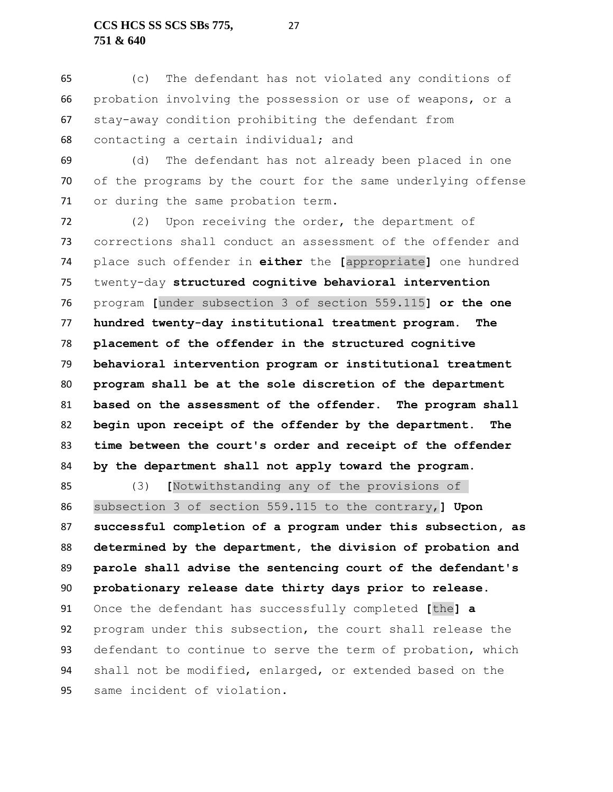(c) The defendant has not violated any conditions of probation involving the possession or use of weapons, or a stay-away condition prohibiting the defendant from contacting a certain individual; and

 (d) The defendant has not already been placed in one of the programs by the court for the same underlying offense or during the same probation term.

 (2) Upon receiving the order, the department of corrections shall conduct an assessment of the offender and place such offender in **either** the **[**appropriate**]** one hundred twenty-day **structured cognitive behavioral intervention** program **[**under subsection 3 of section 559.115**] or the one hundred twenty-day institutional treatment program. The placement of the offender in the structured cognitive behavioral intervention program or institutional treatment program shall be at the sole discretion of the department based on the assessment of the offender. The program shall begin upon receipt of the offender by the department. The time between the court's order and receipt of the offender by the department shall not apply toward the program**.

 (3) **[**Notwithstanding any of the provisions of subsection 3 of section 559.115 to the contrary,**] Upon successful completion of a program under this subsection, as determined by the department, the division of probation and parole shall advise the sentencing court of the defendant's probationary release date thirty days prior to release.** Once the defendant has successfully completed **[**the**] a** program under this subsection, the court shall release the defendant to continue to serve the term of probation, which shall not be modified, enlarged, or extended based on the same incident of violation.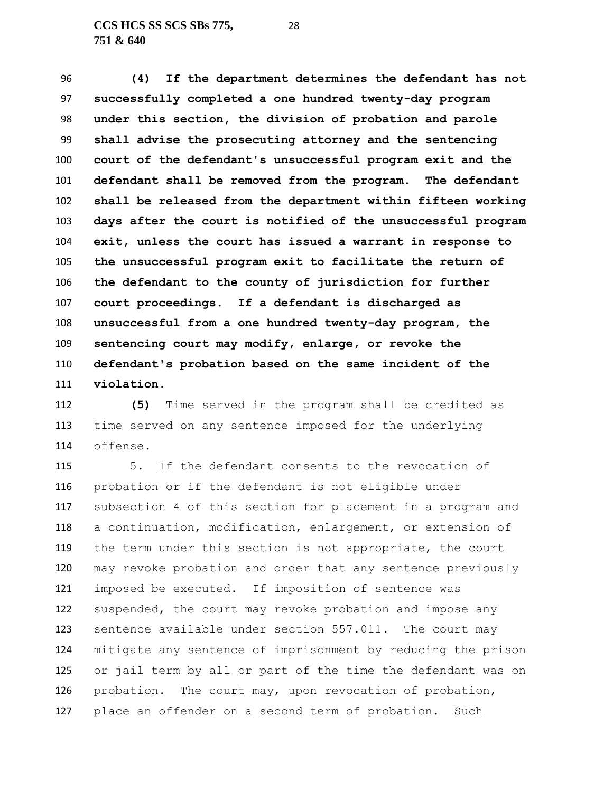**(4) If the department determines the defendant has not successfully completed a one hundred twenty-day program under this section, the division of probation and parole shall advise the prosecuting attorney and the sentencing court of the defendant's unsuccessful program exit and the defendant shall be removed from the program. The defendant shall be released from the department within fifteen working days after the court is notified of the unsuccessful program exit, unless the court has issued a warrant in response to the unsuccessful program exit to facilitate the return of the defendant to the county of jurisdiction for further court proceedings. If a defendant is discharged as unsuccessful from a one hundred twenty-day program, the sentencing court may modify, enlarge, or revoke the defendant's probation based on the same incident of the violation.**

 **(5)** Time served in the program shall be credited as time served on any sentence imposed for the underlying offense.

 5. If the defendant consents to the revocation of probation or if the defendant is not eligible under subsection 4 of this section for placement in a program and a continuation, modification, enlargement, or extension of the term under this section is not appropriate, the court may revoke probation and order that any sentence previously imposed be executed. If imposition of sentence was suspended, the court may revoke probation and impose any sentence available under section 557.011. The court may mitigate any sentence of imprisonment by reducing the prison or jail term by all or part of the time the defendant was on probation. The court may, upon revocation of probation, place an offender on a second term of probation. Such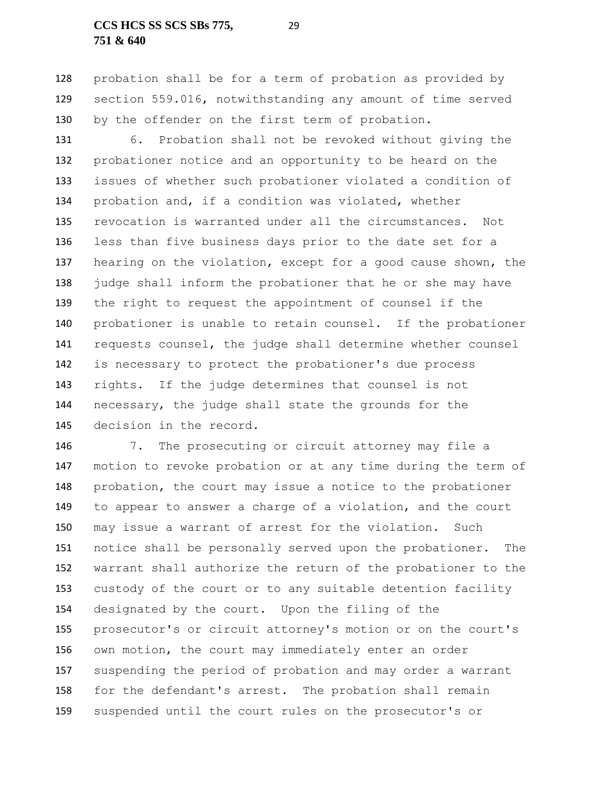probation shall be for a term of probation as provided by section 559.016, notwithstanding any amount of time served by the offender on the first term of probation.

 6. Probation shall not be revoked without giving the probationer notice and an opportunity to be heard on the issues of whether such probationer violated a condition of probation and, if a condition was violated, whether revocation is warranted under all the circumstances. Not less than five business days prior to the date set for a hearing on the violation, except for a good cause shown, the 138 judge shall inform the probationer that he or she may have the right to request the appointment of counsel if the probationer is unable to retain counsel. If the probationer requests counsel, the judge shall determine whether counsel is necessary to protect the probationer's due process rights. If the judge determines that counsel is not necessary, the judge shall state the grounds for the decision in the record.

 7. The prosecuting or circuit attorney may file a motion to revoke probation or at any time during the term of probation, the court may issue a notice to the probationer to appear to answer a charge of a violation, and the court may issue a warrant of arrest for the violation. Such notice shall be personally served upon the probationer. The warrant shall authorize the return of the probationer to the custody of the court or to any suitable detention facility designated by the court. Upon the filing of the prosecutor's or circuit attorney's motion or on the court's own motion, the court may immediately enter an order suspending the period of probation and may order a warrant for the defendant's arrest. The probation shall remain suspended until the court rules on the prosecutor's or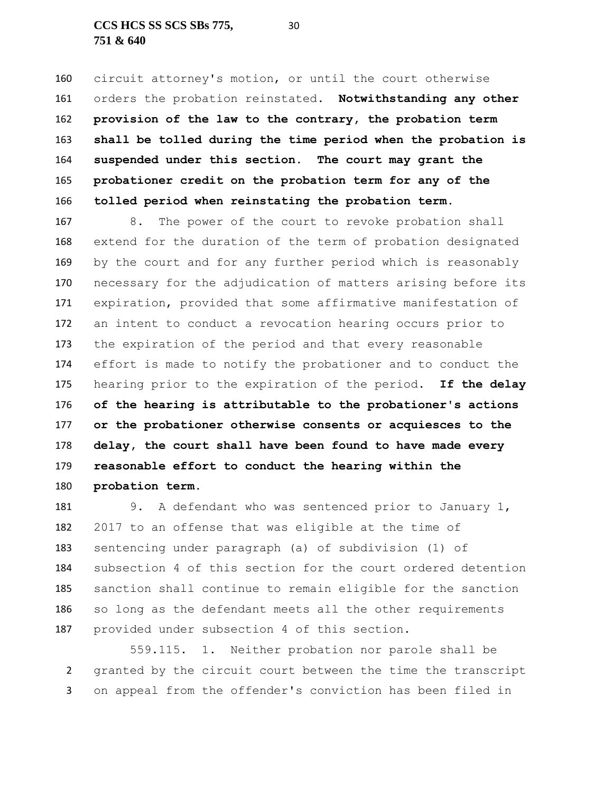circuit attorney's motion, or until the court otherwise orders the probation reinstated. **Notwithstanding any other provision of the law to the contrary, the probation term shall be tolled during the time period when the probation is suspended under this section. The court may grant the probationer credit on the probation term for any of the tolled period when reinstating the probation term.**

 8. The power of the court to revoke probation shall extend for the duration of the term of probation designated by the court and for any further period which is reasonably necessary for the adjudication of matters arising before its expiration, provided that some affirmative manifestation of an intent to conduct a revocation hearing occurs prior to the expiration of the period and that every reasonable effort is made to notify the probationer and to conduct the hearing prior to the expiration of the period. **If the delay of the hearing is attributable to the probationer's actions or the probationer otherwise consents or acquiesces to the delay, the court shall have been found to have made every reasonable effort to conduct the hearing within the probation term.**

181 9. A defendant who was sentenced prior to January 1, 2017 to an offense that was eligible at the time of sentencing under paragraph (a) of subdivision (1) of subsection 4 of this section for the court ordered detention sanction shall continue to remain eligible for the sanction so long as the defendant meets all the other requirements provided under subsection 4 of this section.

559.115. 1. Neither probation nor parole shall be granted by the circuit court between the time the transcript on appeal from the offender's conviction has been filed in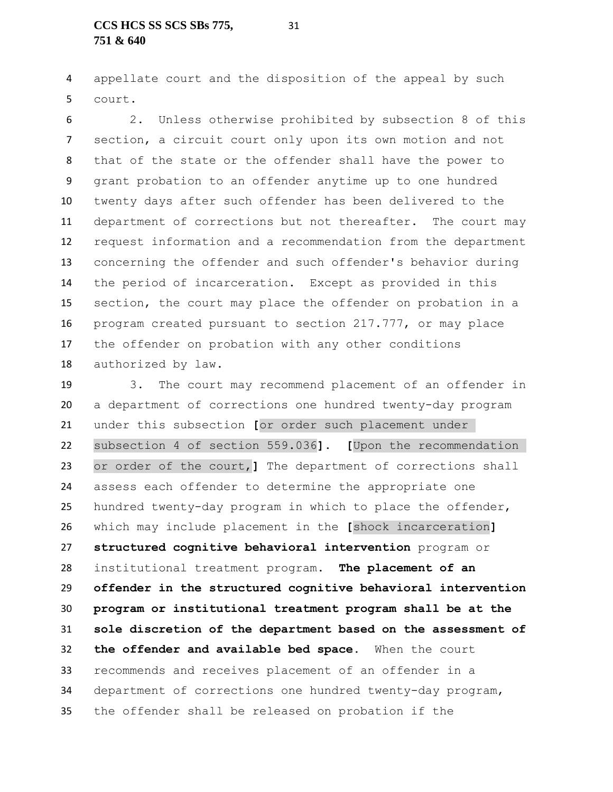appellate court and the disposition of the appeal by such court.

 2. Unless otherwise prohibited by subsection 8 of this section, a circuit court only upon its own motion and not that of the state or the offender shall have the power to grant probation to an offender anytime up to one hundred twenty days after such offender has been delivered to the department of corrections but not thereafter. The court may request information and a recommendation from the department concerning the offender and such offender's behavior during the period of incarceration. Except as provided in this section, the court may place the offender on probation in a program created pursuant to section 217.777, or may place the offender on probation with any other conditions authorized by law.

 3. The court may recommend placement of an offender in a department of corrections one hundred twenty-day program under this subsection **[**or order such placement under subsection 4 of section 559.036**]**. **[**Upon the recommendation or order of the court,**]** The department of corrections shall assess each offender to determine the appropriate one hundred twenty-day program in which to place the offender, which may include placement in the **[**shock incarceration**] structured cognitive behavioral intervention** program or institutional treatment program. **The placement of an offender in the structured cognitive behavioral intervention program or institutional treatment program shall be at the sole discretion of the department based on the assessment of the offender and available bed space.** When the court recommends and receives placement of an offender in a department of corrections one hundred twenty-day program, the offender shall be released on probation if the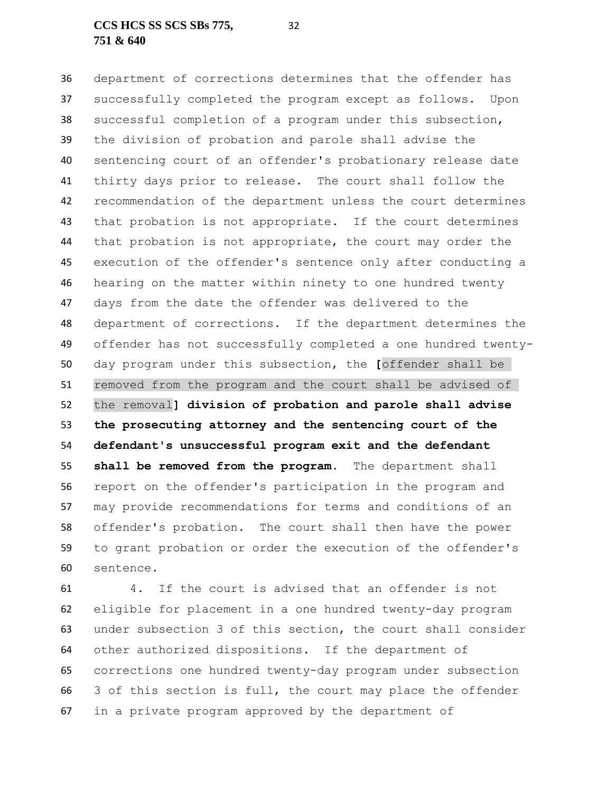department of corrections determines that the offender has successfully completed the program except as follows. Upon successful completion of a program under this subsection, the division of probation and parole shall advise the sentencing court of an offender's probationary release date thirty days prior to release. The court shall follow the recommendation of the department unless the court determines that probation is not appropriate. If the court determines that probation is not appropriate, the court may order the execution of the offender's sentence only after conducting a hearing on the matter within ninety to one hundred twenty days from the date the offender was delivered to the department of corrections. If the department determines the offender has not successfully completed a one hundred twenty- day program under this subsection, the **[**offender shall be removed from the program and the court shall be advised of the removal**] division of probation and parole shall advise the prosecuting attorney and the sentencing court of the defendant's unsuccessful program exit and the defendant shall be removed from the program**. The department shall report on the offender's participation in the program and may provide recommendations for terms and conditions of an offender's probation. The court shall then have the power to grant probation or order the execution of the offender's sentence.

 4. If the court is advised that an offender is not eligible for placement in a one hundred twenty-day program under subsection 3 of this section, the court shall consider other authorized dispositions. If the department of corrections one hundred twenty-day program under subsection 3 of this section is full, the court may place the offender in a private program approved by the department of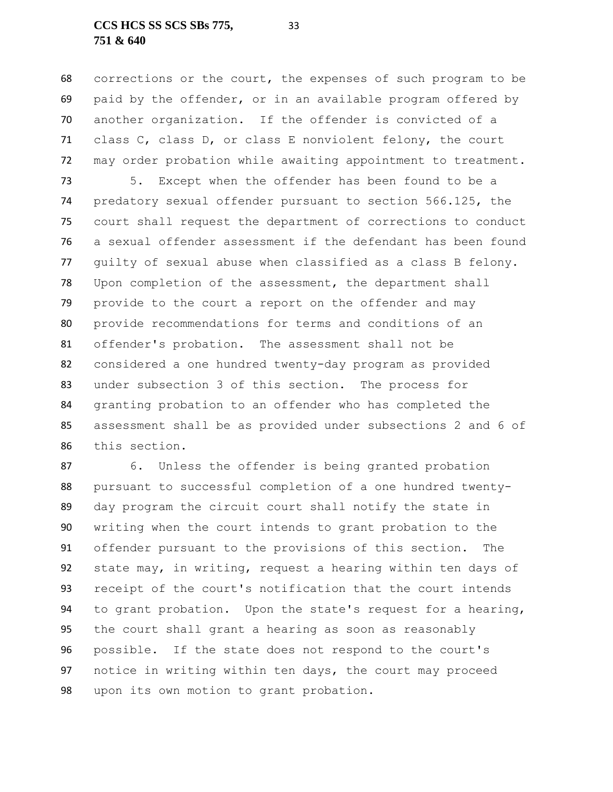#### **CCS HCS SS SCS SBs 775,** 33 **751 & 640**

 corrections or the court, the expenses of such program to be paid by the offender, or in an available program offered by another organization. If the offender is convicted of a class C, class D, or class E nonviolent felony, the court may order probation while awaiting appointment to treatment.

 5. Except when the offender has been found to be a predatory sexual offender pursuant to section 566.125, the court shall request the department of corrections to conduct a sexual offender assessment if the defendant has been found guilty of sexual abuse when classified as a class B felony. Upon completion of the assessment, the department shall provide to the court a report on the offender and may provide recommendations for terms and conditions of an offender's probation. The assessment shall not be considered a one hundred twenty-day program as provided under subsection 3 of this section. The process for granting probation to an offender who has completed the assessment shall be as provided under subsections 2 and 6 of this section.

 6. Unless the offender is being granted probation pursuant to successful completion of a one hundred twenty- day program the circuit court shall notify the state in writing when the court intends to grant probation to the offender pursuant to the provisions of this section. The state may, in writing, request a hearing within ten days of receipt of the court's notification that the court intends to grant probation. Upon the state's request for a hearing, the court shall grant a hearing as soon as reasonably possible. If the state does not respond to the court's notice in writing within ten days, the court may proceed upon its own motion to grant probation.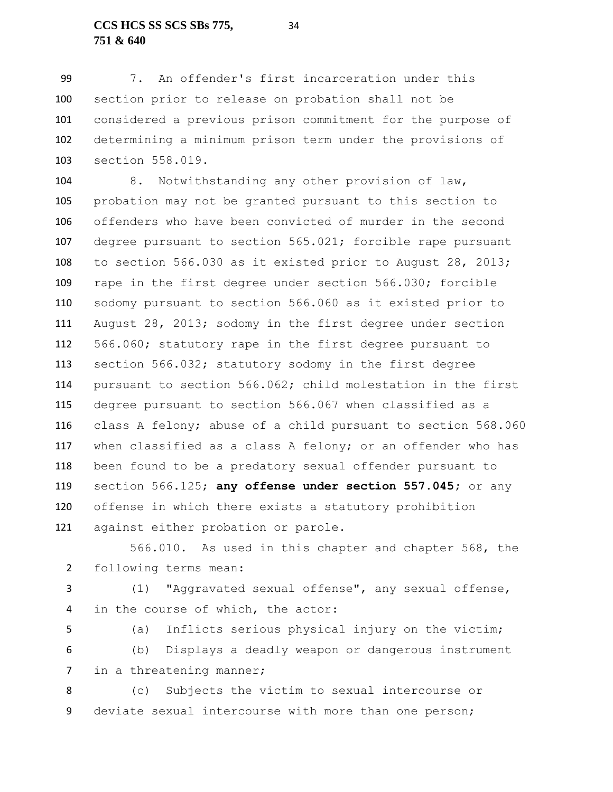7. An offender's first incarceration under this section prior to release on probation shall not be considered a previous prison commitment for the purpose of determining a minimum prison term under the provisions of section 558.019.

 8. Notwithstanding any other provision of law, probation may not be granted pursuant to this section to offenders who have been convicted of murder in the second degree pursuant to section 565.021; forcible rape pursuant to section 566.030 as it existed prior to August 28, 2013; rape in the first degree under section 566.030; forcible sodomy pursuant to section 566.060 as it existed prior to August 28, 2013; sodomy in the first degree under section 566.060; statutory rape in the first degree pursuant to section 566.032; statutory sodomy in the first degree pursuant to section 566.062; child molestation in the first degree pursuant to section 566.067 when classified as a class A felony; abuse of a child pursuant to section 568.060 when classified as a class A felony; or an offender who has been found to be a predatory sexual offender pursuant to section 566.125; **any offense under section 557.045;** or any offense in which there exists a statutory prohibition against either probation or parole.

566.010. As used in this chapter and chapter 568, the following terms mean:

 (1) "Aggravated sexual offense", any sexual offense, in the course of which, the actor:

(a) Inflicts serious physical injury on the victim;

 (b) Displays a deadly weapon or dangerous instrument 7 in a threatening manner;

 (c) Subjects the victim to sexual intercourse or deviate sexual intercourse with more than one person;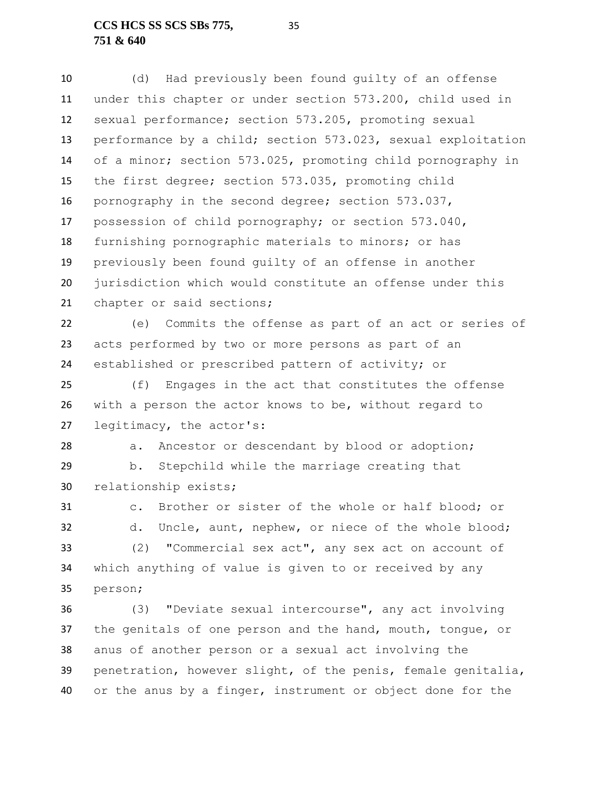(d) Had previously been found guilty of an offense under this chapter or under section 573.200, child used in sexual performance; section 573.205, promoting sexual performance by a child; section 573.023, sexual exploitation of a minor; section 573.025, promoting child pornography in the first degree; section 573.035, promoting child pornography in the second degree; section 573.037, possession of child pornography; or section 573.040, furnishing pornographic materials to minors; or has previously been found guilty of an offense in another jurisdiction which would constitute an offense under this chapter or said sections;

 (e) Commits the offense as part of an act or series of acts performed by two or more persons as part of an established or prescribed pattern of activity; or

 (f) Engages in the act that constitutes the offense with a person the actor knows to be, without regard to legitimacy, the actor's:

 a. Ancestor or descendant by blood or adoption; b. Stepchild while the marriage creating that relationship exists;

 c. Brother or sister of the whole or half blood; or d. Uncle, aunt, nephew, or niece of the whole blood; (2) "Commercial sex act", any sex act on account of which anything of value is given to or received by any person;

 (3) "Deviate sexual intercourse", any act involving the genitals of one person and the hand, mouth, tongue, or anus of another person or a sexual act involving the penetration, however slight, of the penis, female genitalia, or the anus by a finger, instrument or object done for the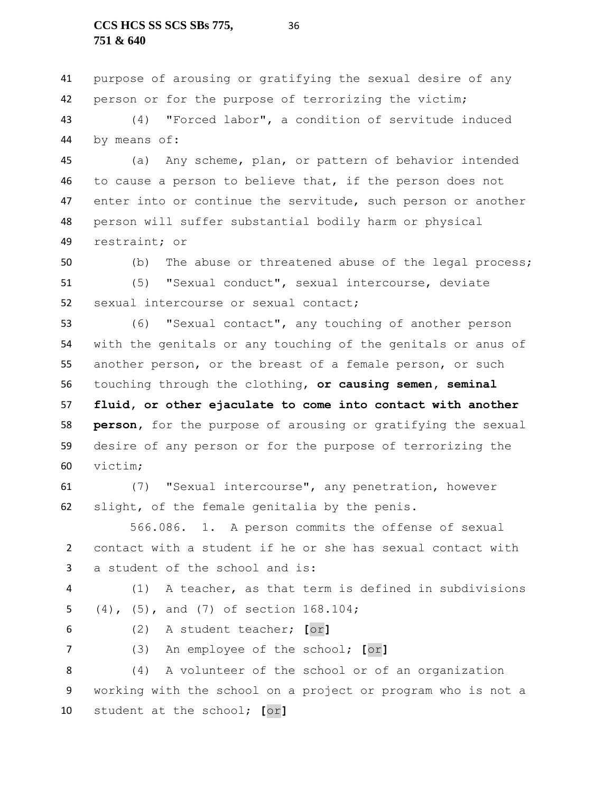purpose of arousing or gratifying the sexual desire of any person or for the purpose of terrorizing the victim;

 (4) "Forced labor", a condition of servitude induced by means of:

 (a) Any scheme, plan, or pattern of behavior intended to cause a person to believe that, if the person does not 47 enter into or continue the servitude, such person or another person will suffer substantial bodily harm or physical restraint; or

 (b) The abuse or threatened abuse of the legal process; (5) "Sexual conduct", sexual intercourse, deviate sexual intercourse or sexual contact;

 (6) "Sexual contact", any touching of another person with the genitals or any touching of the genitals or anus of another person, or the breast of a female person, or such touching through the clothing, **or causing semen, seminal fluid, or other ejaculate to come into contact with another person,** for the purpose of arousing or gratifying the sexual desire of any person or for the purpose of terrorizing the victim;

 (7) "Sexual intercourse", any penetration, however slight, of the female genitalia by the penis.

566.086. 1. A person commits the offense of sexual contact with a student if he or she has sexual contact with a student of the school and is:

 (1) A teacher, as that term is defined in subdivisions (4), (5), and (7) of section 168.104;

- 
- (2) A student teacher; **[**or**]**

(3) An employee of the school; **[**or**]**

 (4) A volunteer of the school or of an organization working with the school on a project or program who is not a student at the school; **[**or**]**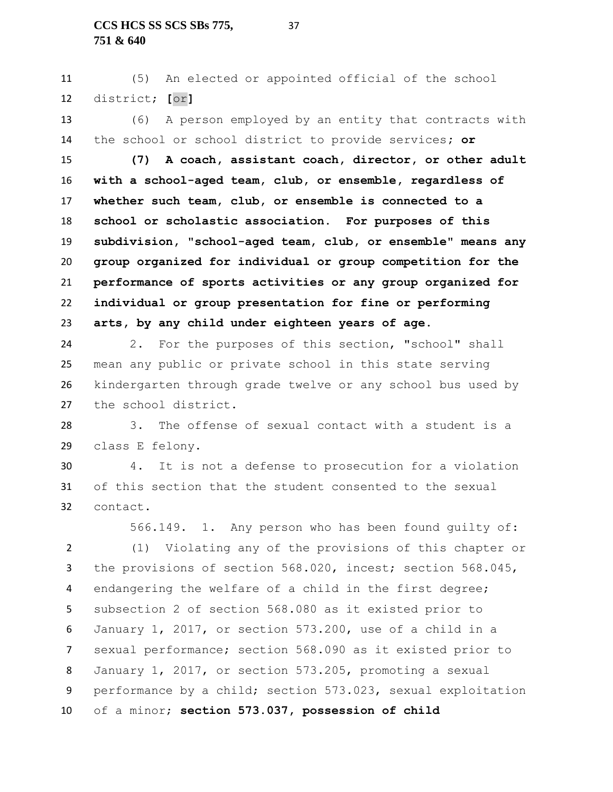(5) An elected or appointed official of the school district; **[**or**]**

 (6) A person employed by an entity that contracts with the school or school district to provide services**; or**

 **(7) A coach, assistant coach, director, or other adult with a school-aged team, club, or ensemble, regardless of whether such team, club, or ensemble is connected to a school or scholastic association. For purposes of this subdivision, "school-aged team, club, or ensemble" means any group organized for individual or group competition for the performance of sports activities or any group organized for individual or group presentation for fine or performing arts, by any child under eighteen years of age**.

 2. For the purposes of this section, "school" shall mean any public or private school in this state serving kindergarten through grade twelve or any school bus used by the school district.

 3. The offense of sexual contact with a student is a class E felony.

 4. It is not a defense to prosecution for a violation of this section that the student consented to the sexual contact.

566.149. 1. Any person who has been found quilty of:

 (1) Violating any of the provisions of this chapter or the provisions of section 568.020, incest; section 568.045, endangering the welfare of a child in the first degree; subsection 2 of section 568.080 as it existed prior to January 1, 2017, or section 573.200, use of a child in a sexual performance; section 568.090 as it existed prior to January 1, 2017, or section 573.205, promoting a sexual performance by a child; section 573.023, sexual exploitation of a minor; **section 573.037, possession of child**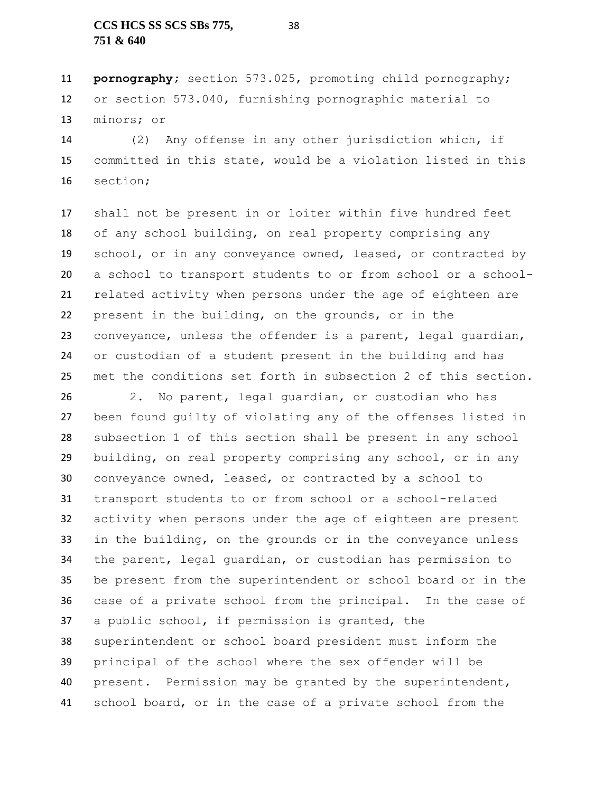**pornography;** section 573.025, promoting child pornography; or section 573.040, furnishing pornographic material to minors; or

 (2) Any offense in any other jurisdiction which, if committed in this state, would be a violation listed in this section;

 shall not be present in or loiter within five hundred feet of any school building, on real property comprising any school, or in any conveyance owned, leased, or contracted by a school to transport students to or from school or a school- related activity when persons under the age of eighteen are present in the building, on the grounds, or in the conveyance, unless the offender is a parent, legal guardian, or custodian of a student present in the building and has met the conditions set forth in subsection 2 of this section.

 2. No parent, legal guardian, or custodian who has been found guilty of violating any of the offenses listed in subsection 1 of this section shall be present in any school building, on real property comprising any school, or in any conveyance owned, leased, or contracted by a school to transport students to or from school or a school-related activity when persons under the age of eighteen are present in the building, on the grounds or in the conveyance unless the parent, legal guardian, or custodian has permission to be present from the superintendent or school board or in the case of a private school from the principal. In the case of a public school, if permission is granted, the superintendent or school board president must inform the principal of the school where the sex offender will be present. Permission may be granted by the superintendent, school board, or in the case of a private school from the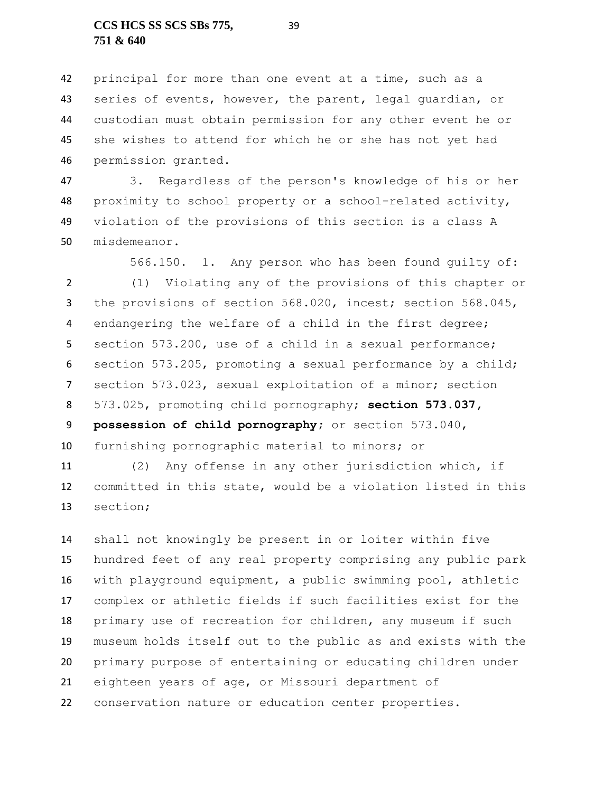principal for more than one event at a time, such as a series of events, however, the parent, legal guardian, or custodian must obtain permission for any other event he or she wishes to attend for which he or she has not yet had permission granted.

 3. Regardless of the person's knowledge of his or her proximity to school property or a school-related activity, violation of the provisions of this section is a class A misdemeanor.

566.150. 1. Any person who has been found quilty of: (1) Violating any of the provisions of this chapter or 3 the provisions of section 568.020, incest; section 568.045, endangering the welfare of a child in the first degree; section 573.200, use of a child in a sexual performance; section 573.205, promoting a sexual performance by a child; section 573.023, sexual exploitation of a minor; section 573.025, promoting child pornography; **section 573.037, possession of child pornography;** or section 573.040,

furnishing pornographic material to minors; or

 (2) Any offense in any other jurisdiction which, if committed in this state, would be a violation listed in this section;

 shall not knowingly be present in or loiter within five hundred feet of any real property comprising any public park with playground equipment, a public swimming pool, athletic complex or athletic fields if such facilities exist for the primary use of recreation for children, any museum if such museum holds itself out to the public as and exists with the primary purpose of entertaining or educating children under eighteen years of age, or Missouri department of conservation nature or education center properties.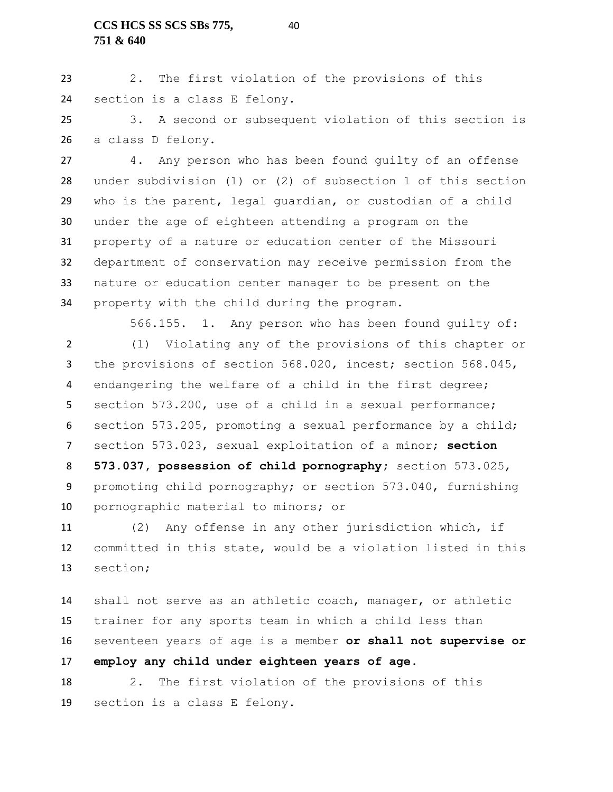2. The first violation of the provisions of this section is a class E felony.

 3. A second or subsequent violation of this section is a class D felony.

 4. Any person who has been found guilty of an offense under subdivision (1) or (2) of subsection 1 of this section who is the parent, legal guardian, or custodian of a child under the age of eighteen attending a program on the property of a nature or education center of the Missouri department of conservation may receive permission from the nature or education center manager to be present on the property with the child during the program.

566.155. 1. Any person who has been found quilty of: (1) Violating any of the provisions of this chapter or the provisions of section 568.020, incest; section 568.045, endangering the welfare of a child in the first degree; section 573.200, use of a child in a sexual performance; section 573.205, promoting a sexual performance by a child; section 573.023, sexual exploitation of a minor; **section 573.037, possession of child pornography;** section 573.025, promoting child pornography; or section 573.040, furnishing pornographic material to minors; or

 (2) Any offense in any other jurisdiction which, if committed in this state, would be a violation listed in this section;

 shall not serve as an athletic coach, manager, or athletic trainer for any sports team in which a child less than seventeen years of age is a member **or shall not supervise or employ any child under eighteen years of age**.

 2. The first violation of the provisions of this section is a class E felony.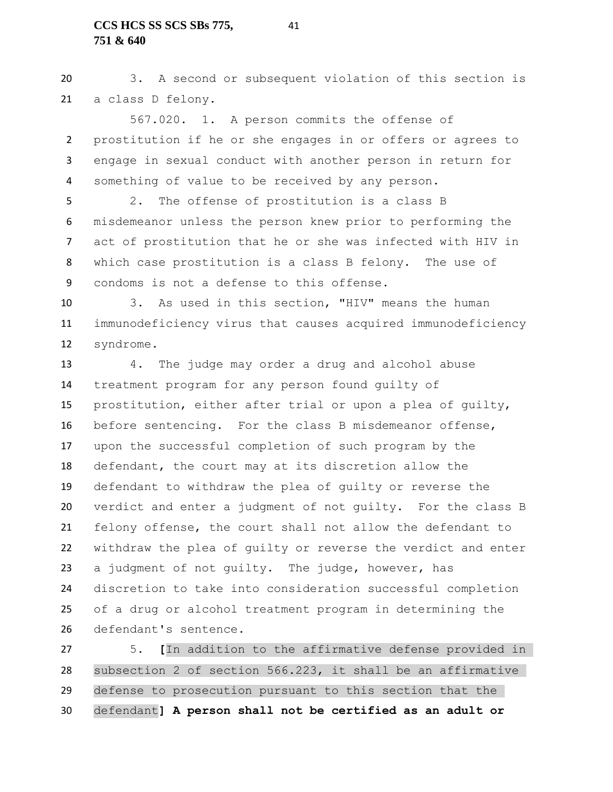#### **CCS HCS SS SCS SBs 775,** 41 **751 & 640**

 3. A second or subsequent violation of this section is a class D felony.

 567.020. 1. A person commits the offense of prostitution if he or she engages in or offers or agrees to engage in sexual conduct with another person in return for something of value to be received by any person.

 2. The offense of prostitution is a class B misdemeanor unless the person knew prior to performing the act of prostitution that he or she was infected with HIV in which case prostitution is a class B felony. The use of condoms is not a defense to this offense.

 3. As used in this section, "HIV" means the human immunodeficiency virus that causes acquired immunodeficiency syndrome.

 4. The judge may order a drug and alcohol abuse treatment program for any person found guilty of prostitution, either after trial or upon a plea of guilty, before sentencing. For the class B misdemeanor offense, upon the successful completion of such program by the defendant, the court may at its discretion allow the defendant to withdraw the plea of guilty or reverse the verdict and enter a judgment of not guilty. For the class B felony offense, the court shall not allow the defendant to withdraw the plea of guilty or reverse the verdict and enter a judgment of not guilty. The judge, however, has discretion to take into consideration successful completion of a drug or alcohol treatment program in determining the defendant's sentence.

 5. **[**In addition to the affirmative defense provided in subsection 2 of section 566.223, it shall be an affirmative defense to prosecution pursuant to this section that the defendant**] A person shall not be certified as an adult or**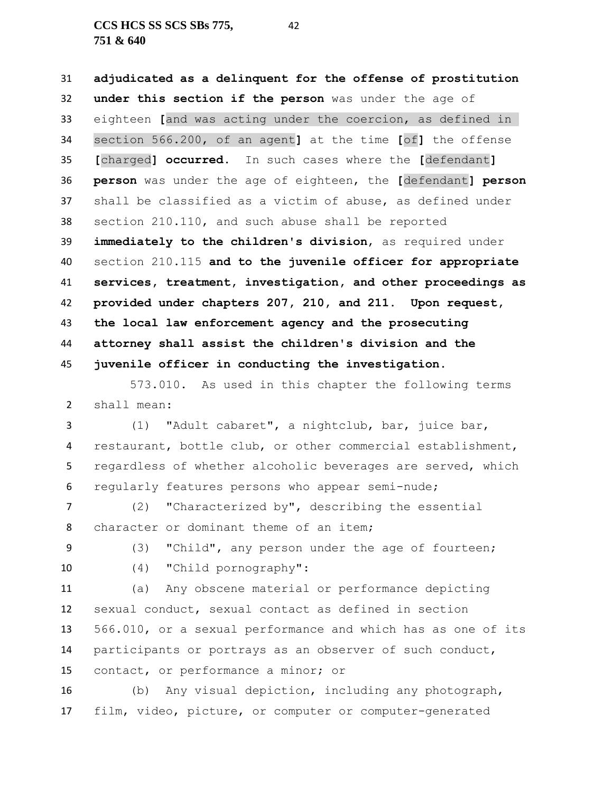#### **CCS HCS SS SCS SBs 775,** 42 **751 & 640**

 **adjudicated as a delinquent for the offense of prostitution under this section if the person** was under the age of eighteen **[**and was acting under the coercion, as defined in section 566.200, of an agent**]** at the time **[**of**]** the offense **[**charged**] occurred**. In such cases where the **[**defendant**] person** was under the age of eighteen, the **[**defendant**] person** shall be classified as a victim of abuse, as defined under section 210.110, and such abuse shall be reported **immediately to the children's division**, as required under section 210.115 **and to the juvenile officer for appropriate services, treatment, investigation, and other proceedings as provided under chapters 207, 210, and 211. Upon request, the local law enforcement agency and the prosecuting attorney shall assist the children's division and the juvenile officer in conducting the investigation**.

573.010. As used in this chapter the following terms shall mean:

 (1) "Adult cabaret", a nightclub, bar, juice bar, restaurant, bottle club, or other commercial establishment, regardless of whether alcoholic beverages are served, which regularly features persons who appear semi-nude;

 (2) "Characterized by", describing the essential character or dominant theme of an item;

 (3) "Child", any person under the age of fourteen; (4) "Child pornography":

 (a) Any obscene material or performance depicting sexual conduct, sexual contact as defined in section 566.010, or a sexual performance and which has as one of its participants or portrays as an observer of such conduct, contact, or performance a minor; or

 (b) Any visual depiction, including any photograph, film, video, picture, or computer or computer-generated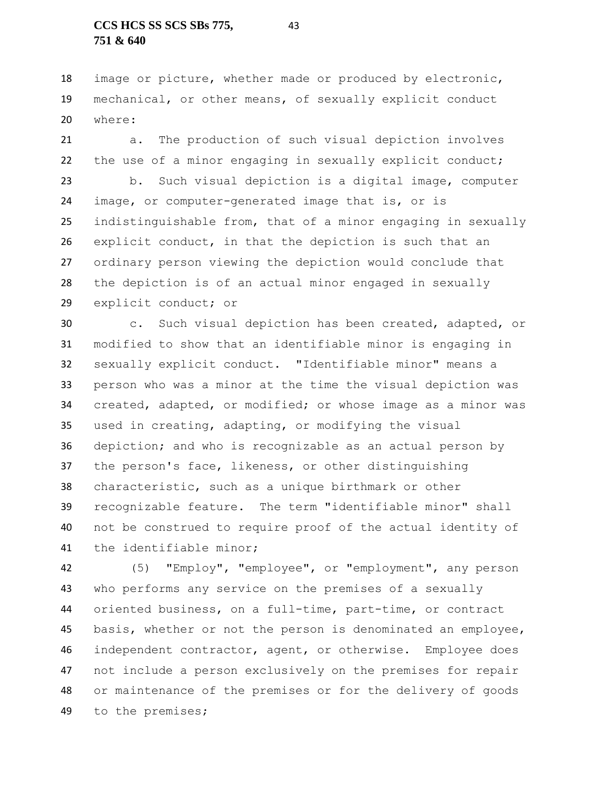#### **CCS HCS SS SCS SBs 775,** 43 **751 & 640**

 image or picture, whether made or produced by electronic, mechanical, or other means, of sexually explicit conduct where:

 a. The production of such visual depiction involves the use of a minor engaging in sexually explicit conduct; b. Such visual depiction is a digital image, computer image, or computer-generated image that is, or is indistinguishable from, that of a minor engaging in sexually explicit conduct, in that the depiction is such that an ordinary person viewing the depiction would conclude that the depiction is of an actual minor engaged in sexually explicit conduct; or

 c. Such visual depiction has been created, adapted, or modified to show that an identifiable minor is engaging in sexually explicit conduct. "Identifiable minor" means a person who was a minor at the time the visual depiction was created, adapted, or modified; or whose image as a minor was used in creating, adapting, or modifying the visual depiction; and who is recognizable as an actual person by the person's face, likeness, or other distinguishing characteristic, such as a unique birthmark or other recognizable feature. The term "identifiable minor" shall not be construed to require proof of the actual identity of the identifiable minor;

 (5) "Employ", "employee", or "employment", any person who performs any service on the premises of a sexually oriented business, on a full-time, part-time, or contract basis, whether or not the person is denominated an employee, independent contractor, agent, or otherwise. Employee does not include a person exclusively on the premises for repair or maintenance of the premises or for the delivery of goods to the premises;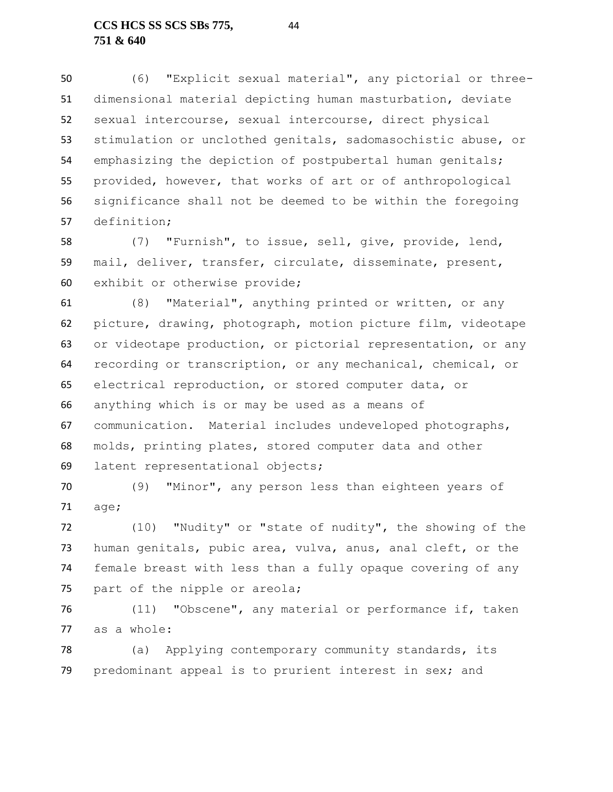(6) "Explicit sexual material", any pictorial or three- dimensional material depicting human masturbation, deviate sexual intercourse, sexual intercourse, direct physical stimulation or unclothed genitals, sadomasochistic abuse, or emphasizing the depiction of postpubertal human genitals; provided, however, that works of art or of anthropological significance shall not be deemed to be within the foregoing definition;

 (7) "Furnish", to issue, sell, give, provide, lend, mail, deliver, transfer, circulate, disseminate, present, exhibit or otherwise provide;

 (8) "Material", anything printed or written, or any picture, drawing, photograph, motion picture film, videotape or videotape production, or pictorial representation, or any recording or transcription, or any mechanical, chemical, or electrical reproduction, or stored computer data, or anything which is or may be used as a means of communication. Material includes undeveloped photographs, molds, printing plates, stored computer data and other latent representational objects;

 (9) "Minor", any person less than eighteen years of age;

 (10) "Nudity" or "state of nudity", the showing of the human genitals, pubic area, vulva, anus, anal cleft, or the female breast with less than a fully opaque covering of any part of the nipple or areola;

 (11) "Obscene", any material or performance if, taken as a whole:

 (a) Applying contemporary community standards, its predominant appeal is to prurient interest in sex; and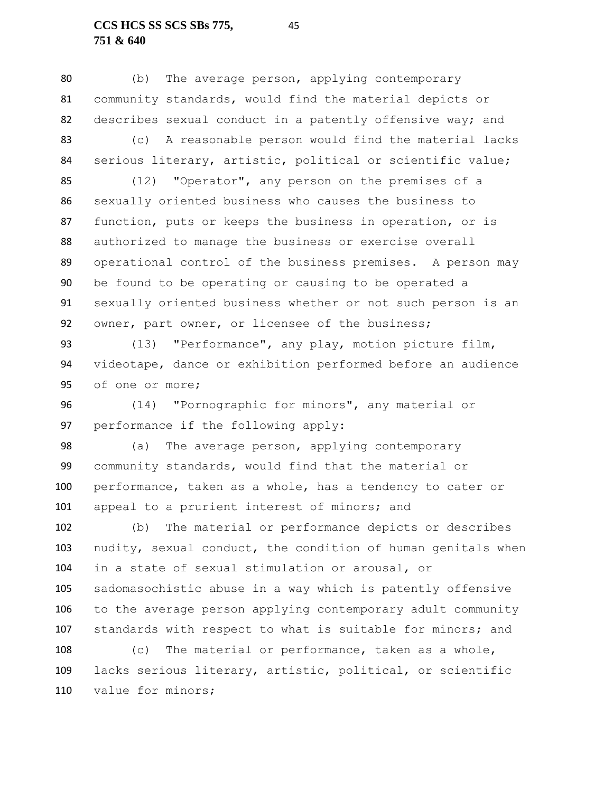(b) The average person, applying contemporary community standards, would find the material depicts or describes sexual conduct in a patently offensive way; and

 (c) A reasonable person would find the material lacks serious literary, artistic, political or scientific value;

 (12) "Operator", any person on the premises of a sexually oriented business who causes the business to function, puts or keeps the business in operation, or is authorized to manage the business or exercise overall operational control of the business premises. A person may be found to be operating or causing to be operated a sexually oriented business whether or not such person is an 92 owner, part owner, or licensee of the business;

 (13) "Performance", any play, motion picture film, videotape, dance or exhibition performed before an audience of one or more;

 (14) "Pornographic for minors", any material or performance if the following apply:

98 (a) The average person, applying contemporary community standards, would find that the material or performance, taken as a whole, has a tendency to cater or appeal to a prurient interest of minors; and

 (b) The material or performance depicts or describes nudity, sexual conduct, the condition of human genitals when in a state of sexual stimulation or arousal, or sadomasochistic abuse in a way which is patently offensive to the average person applying contemporary adult community standards with respect to what is suitable for minors; and

 (c) The material or performance, taken as a whole, lacks serious literary, artistic, political, or scientific value for minors;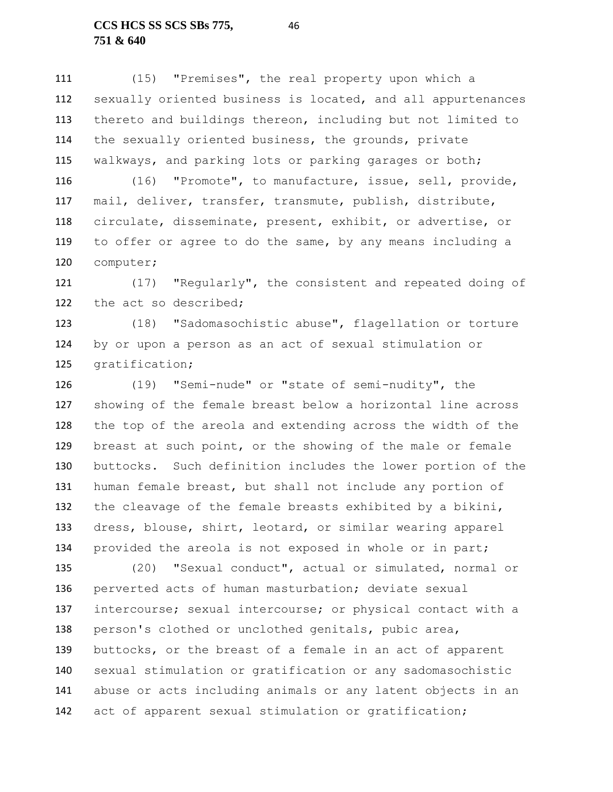(15) "Premises", the real property upon which a sexually oriented business is located, and all appurtenances thereto and buildings thereon, including but not limited to the sexually oriented business, the grounds, private walkways, and parking lots or parking garages or both;

 (16) "Promote", to manufacture, issue, sell, provide, mail, deliver, transfer, transmute, publish, distribute, circulate, disseminate, present, exhibit, or advertise, or to offer or agree to do the same, by any means including a computer;

 (17) "Regularly", the consistent and repeated doing of 122 the act so described;

 (18) "Sadomasochistic abuse", flagellation or torture by or upon a person as an act of sexual stimulation or gratification;

 (19) "Semi-nude" or "state of semi-nudity", the showing of the female breast below a horizontal line across the top of the areola and extending across the width of the 129 breast at such point, or the showing of the male or female buttocks. Such definition includes the lower portion of the human female breast, but shall not include any portion of the cleavage of the female breasts exhibited by a bikini, dress, blouse, shirt, leotard, or similar wearing apparel provided the areola is not exposed in whole or in part;

 (20) "Sexual conduct", actual or simulated, normal or perverted acts of human masturbation; deviate sexual intercourse; sexual intercourse; or physical contact with a person's clothed or unclothed genitals, pubic area, buttocks, or the breast of a female in an act of apparent sexual stimulation or gratification or any sadomasochistic abuse or acts including animals or any latent objects in an act of apparent sexual stimulation or gratification;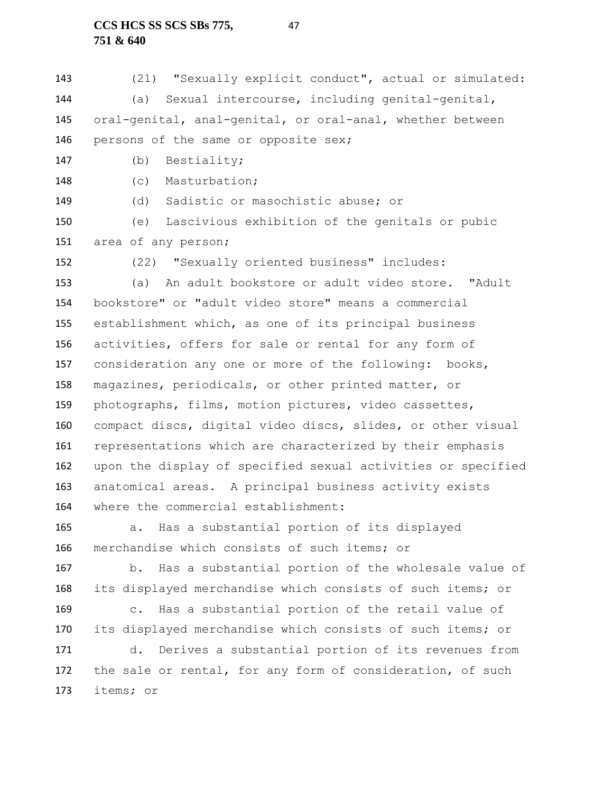(21) "Sexually explicit conduct", actual or simulated: (a) Sexual intercourse, including genital-genital, oral-genital, anal-genital, or oral-anal, whether between persons of the same or opposite sex;

- (b) Bestiality;
- (c) Masturbation;

(d) Sadistic or masochistic abuse; or

 (e) Lascivious exhibition of the genitals or pubic area of any person;

(22) "Sexually oriented business" includes:

 (a) An adult bookstore or adult video store. "Adult bookstore" or "adult video store" means a commercial establishment which, as one of its principal business activities, offers for sale or rental for any form of consideration any one or more of the following: books, magazines, periodicals, or other printed matter, or photographs, films, motion pictures, video cassettes, compact discs, digital video discs, slides, or other visual representations which are characterized by their emphasis upon the display of specified sexual activities or specified anatomical areas. A principal business activity exists where the commercial establishment:

 a. Has a substantial portion of its displayed merchandise which consists of such items; or

 b. Has a substantial portion of the wholesale value of its displayed merchandise which consists of such items; or c. Has a substantial portion of the retail value of its displayed merchandise which consists of such items; or d. Derives a substantial portion of its revenues from the sale or rental, for any form of consideration, of such items; or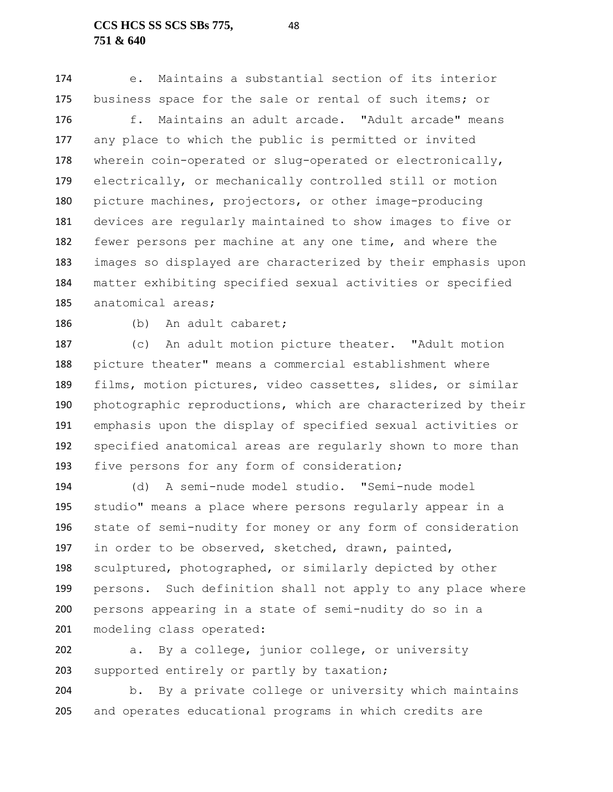e. Maintains a substantial section of its interior business space for the sale or rental of such items; or

 f. Maintains an adult arcade. "Adult arcade" means any place to which the public is permitted or invited wherein coin-operated or slug-operated or electronically, electrically, or mechanically controlled still or motion picture machines, projectors, or other image-producing devices are regularly maintained to show images to five or fewer persons per machine at any one time, and where the images so displayed are characterized by their emphasis upon matter exhibiting specified sexual activities or specified anatomical areas;

186 (b) An adult cabaret;

 (c) An adult motion picture theater. "Adult motion picture theater" means a commercial establishment where films, motion pictures, video cassettes, slides, or similar photographic reproductions, which are characterized by their emphasis upon the display of specified sexual activities or specified anatomical areas are regularly shown to more than 193 five persons for any form of consideration;

 (d) A semi-nude model studio. "Semi-nude model studio" means a place where persons regularly appear in a state of semi-nudity for money or any form of consideration in order to be observed, sketched, drawn, painted, sculptured, photographed, or similarly depicted by other persons. Such definition shall not apply to any place where persons appearing in a state of semi-nudity do so in a modeling class operated:

 a. By a college, junior college, or university supported entirely or partly by taxation;

 b. By a private college or university which maintains and operates educational programs in which credits are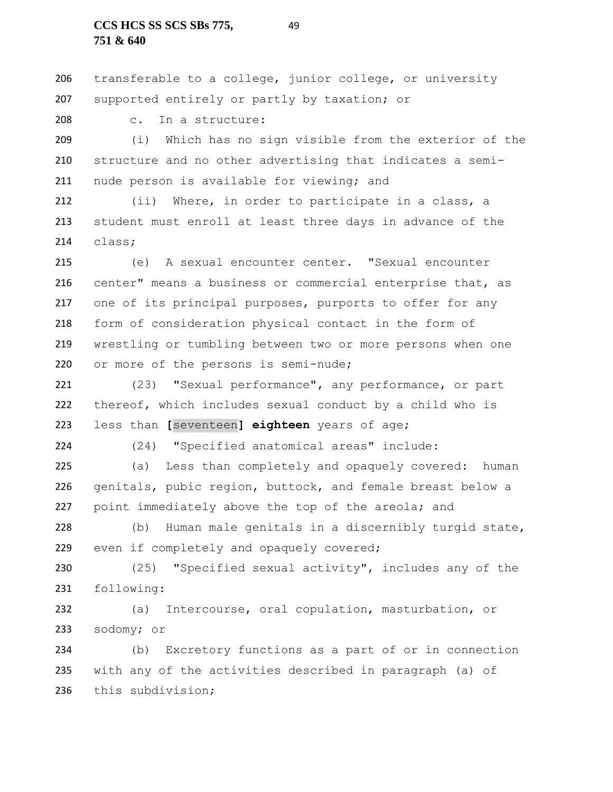#### **CCS HCS SS SCS SBs 775,** 49 **751 & 640**

 transferable to a college, junior college, or university supported entirely or partly by taxation; or

c. In a structure:

 (i) Which has no sign visible from the exterior of the structure and no other advertising that indicates a semi-nude person is available for viewing; and

 (ii) Where, in order to participate in a class, a student must enroll at least three days in advance of the class;

 (e) A sexual encounter center. "Sexual encounter center" means a business or commercial enterprise that, as one of its principal purposes, purports to offer for any form of consideration physical contact in the form of wrestling or tumbling between two or more persons when one or more of the persons is semi-nude;

 (23) "Sexual performance", any performance, or part thereof, which includes sexual conduct by a child who is less than **[**seventeen**] eighteen** years of age;

(24) "Specified anatomical areas" include:

 (a) Less than completely and opaquely covered: human genitals, pubic region, buttock, and female breast below a point immediately above the top of the areola; and

 (b) Human male genitals in a discernibly turgid state, 229 even if completely and opaquely covered;

 (25) "Specified sexual activity", includes any of the following:

 (a) Intercourse, oral copulation, masturbation, or sodomy; or

 (b) Excretory functions as a part of or in connection with any of the activities described in paragraph (a) of this subdivision;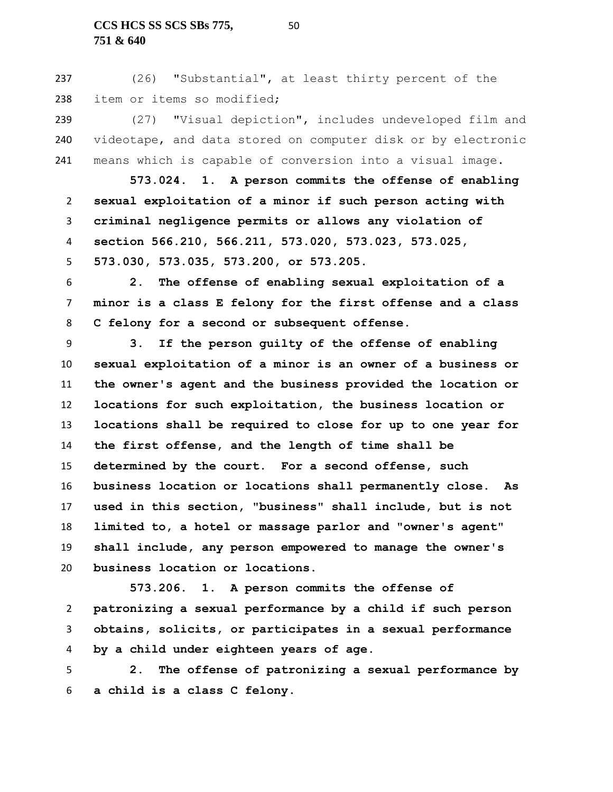(26) "Substantial", at least thirty percent of the item or items so modified;

 (27) "Visual depiction", includes undeveloped film and videotape, and data stored on computer disk or by electronic means which is capable of conversion into a visual image.

 **573.024. 1. A person commits the offense of enabling sexual exploitation of a minor if such person acting with criminal negligence permits or allows any violation of section 566.210, 566.211, 573.020, 573.023, 573.025, 573.030, 573.035, 573.200, or 573.205.**

 **2. The offense of enabling sexual exploitation of a minor is a class E felony for the first offense and a class C felony for a second or subsequent offense.**

 **3. If the person guilty of the offense of enabling sexual exploitation of a minor is an owner of a business or the owner's agent and the business provided the location or locations for such exploitation, the business location or locations shall be required to close for up to one year for the first offense, and the length of time shall be determined by the court. For a second offense, such business location or locations shall permanently close. As used in this section, "business" shall include, but is not limited to, a hotel or massage parlor and "owner's agent" shall include, any person empowered to manage the owner's business location or locations.**

 **573.206. 1. A person commits the offense of patronizing a sexual performance by a child if such person obtains, solicits, or participates in a sexual performance by a child under eighteen years of age.**

 **2. The offense of patronizing a sexual performance by a child is a class C felony.**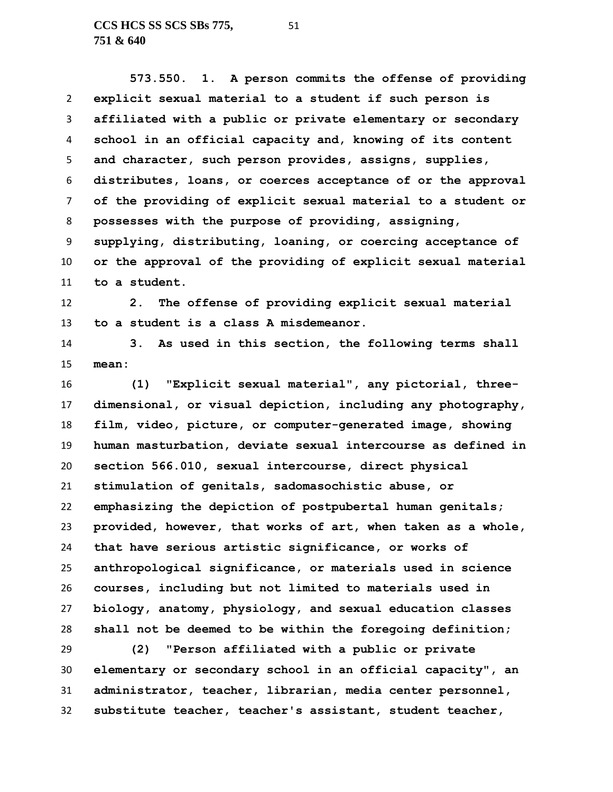**573.550. 1. A person commits the offense of providing explicit sexual material to a student if such person is affiliated with a public or private elementary or secondary school in an official capacity and, knowing of its content and character, such person provides, assigns, supplies, distributes, loans, or coerces acceptance of or the approval of the providing of explicit sexual material to a student or possesses with the purpose of providing, assigning, supplying, distributing, loaning, or coercing acceptance of or the approval of the providing of explicit sexual material to a student.**

 **2. The offense of providing explicit sexual material to a student is a class A misdemeanor.**

 **3. As used in this section, the following terms shall mean:**

 **(1) "Explicit sexual material", any pictorial, three- dimensional, or visual depiction, including any photography, film, video, picture, or computer-generated image, showing human masturbation, deviate sexual intercourse as defined in section 566.010, sexual intercourse, direct physical stimulation of genitals, sadomasochistic abuse, or emphasizing the depiction of postpubertal human genitals; provided, however, that works of art, when taken as a whole, that have serious artistic significance, or works of anthropological significance, or materials used in science courses, including but not limited to materials used in biology, anatomy, physiology, and sexual education classes shall not be deemed to be within the foregoing definition;**

 **(2) "Person affiliated with a public or private elementary or secondary school in an official capacity", an administrator, teacher, librarian, media center personnel, substitute teacher, teacher's assistant, student teacher,**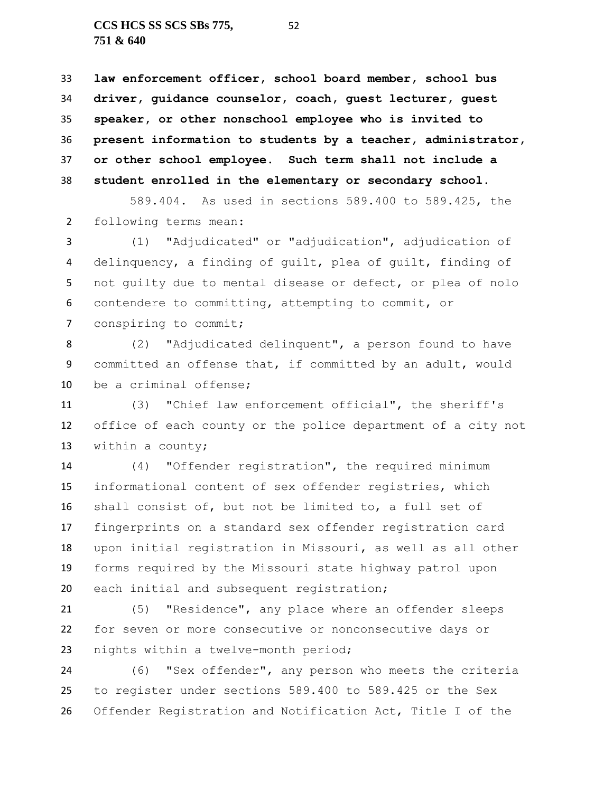**CCS HCS SS SCS SBs 775,** 52 **751 & 640**

 **law enforcement officer, school board member, school bus driver, guidance counselor, coach, guest lecturer, guest speaker, or other nonschool employee who is invited to present information to students by a teacher, administrator, or other school employee. Such term shall not include a student enrolled in the elementary or secondary school.**

 589.404. As used in sections 589.400 to 589.425, the following terms mean:

 (1) "Adjudicated" or "adjudication", adjudication of delinquency, a finding of guilt, plea of guilt, finding of not guilty due to mental disease or defect, or plea of nolo contendere to committing, attempting to commit, or conspiring to commit;

 (2) "Adjudicated delinquent", a person found to have committed an offense that, if committed by an adult, would be a criminal offense;

 (3) "Chief law enforcement official", the sheriff's office of each county or the police department of a city not within a county;

 (4) "Offender registration", the required minimum informational content of sex offender registries, which shall consist of, but not be limited to, a full set of fingerprints on a standard sex offender registration card upon initial registration in Missouri, as well as all other forms required by the Missouri state highway patrol upon each initial and subsequent registration;

 (5) "Residence", any place where an offender sleeps for seven or more consecutive or nonconsecutive days or nights within a twelve-month period;

 (6) "Sex offender", any person who meets the criteria to register under sections 589.400 to 589.425 or the Sex Offender Registration and Notification Act, Title I of the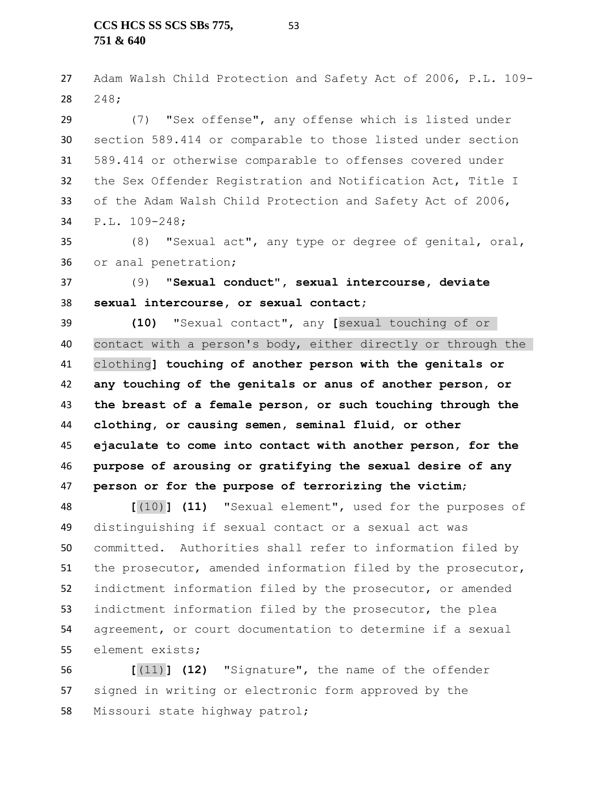Adam Walsh Child Protection and Safety Act of 2006, P.L. 109- 248;

 (7) "Sex offense", any offense which is listed under section 589.414 or comparable to those listed under section 589.414 or otherwise comparable to offenses covered under the Sex Offender Registration and Notification Act, Title I of the Adam Walsh Child Protection and Safety Act of 2006, P.L. 109-248;

 (8) "Sexual act", any type or degree of genital, oral, or anal penetration;

 (9) **"Sexual conduct", sexual intercourse, deviate sexual intercourse, or sexual contact;**

 **(10)** "Sexual contact", any **[**sexual touching of or contact with a person's body, either directly or through the clothing**] touching of another person with the genitals or any touching of the genitals or anus of another person, or the breast of a female person, or such touching through the clothing, or causing semen, seminal fluid, or other ejaculate to come into contact with another person, for the purpose of arousing or gratifying the sexual desire of any person or for the purpose of terrorizing the victim**;

 **[**(10)**] (11)** "Sexual element", used for the purposes of distinguishing if sexual contact or a sexual act was committed. Authorities shall refer to information filed by the prosecutor, amended information filed by the prosecutor, indictment information filed by the prosecutor, or amended indictment information filed by the prosecutor, the plea agreement, or court documentation to determine if a sexual element exists;

 **[**(11)**] (12)** "Signature", the name of the offender signed in writing or electronic form approved by the Missouri state highway patrol;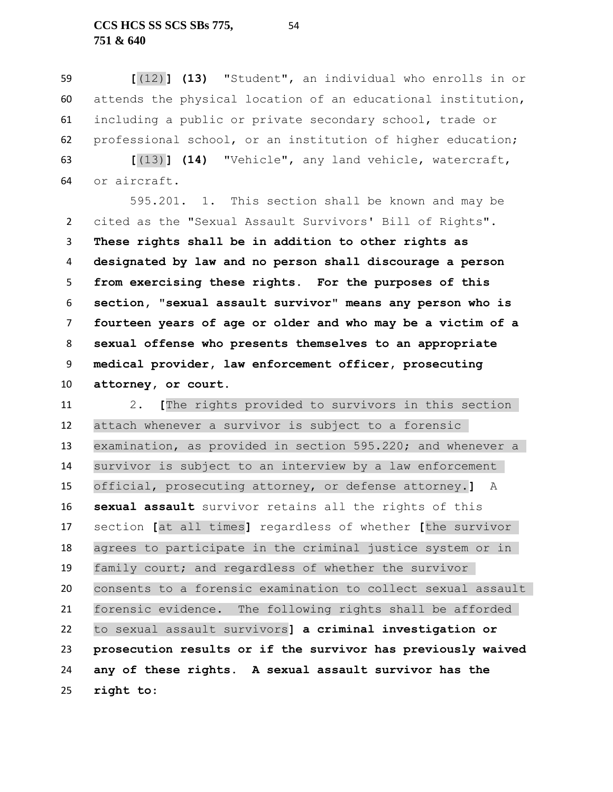**[**(12)**] (13)** "Student", an individual who enrolls in or attends the physical location of an educational institution, including a public or private secondary school, trade or professional school, or an institution of higher education;

 **[**(13)**] (14)** "Vehicle", any land vehicle, watercraft, or aircraft.

595.201. 1. This section shall be known and may be cited as the "Sexual Assault Survivors' Bill of Rights". **These rights shall be in addition to other rights as designated by law and no person shall discourage a person from exercising these rights. For the purposes of this section, "sexual assault survivor" means any person who is fourteen years of age or older and who may be a victim of a sexual offense who presents themselves to an appropriate medical provider, law enforcement officer, prosecuting attorney, or court.**

 2. **[**The rights provided to survivors in this section attach whenever a survivor is subject to a forensic examination, as provided in section 595.220; and whenever a survivor is subject to an interview by a law enforcement official, prosecuting attorney, or defense attorney.**]** A **sexual assault** survivor retains all the rights of this section **[**at all times**]** regardless of whether **[**the survivor agrees to participate in the criminal justice system or in family court; and regardless of whether the survivor consents to a forensic examination to collect sexual assault forensic evidence. The following rights shall be afforded to sexual assault survivors**] a criminal investigation or prosecution results or if the survivor has previously waived any of these rights. A sexual assault survivor has the right to**: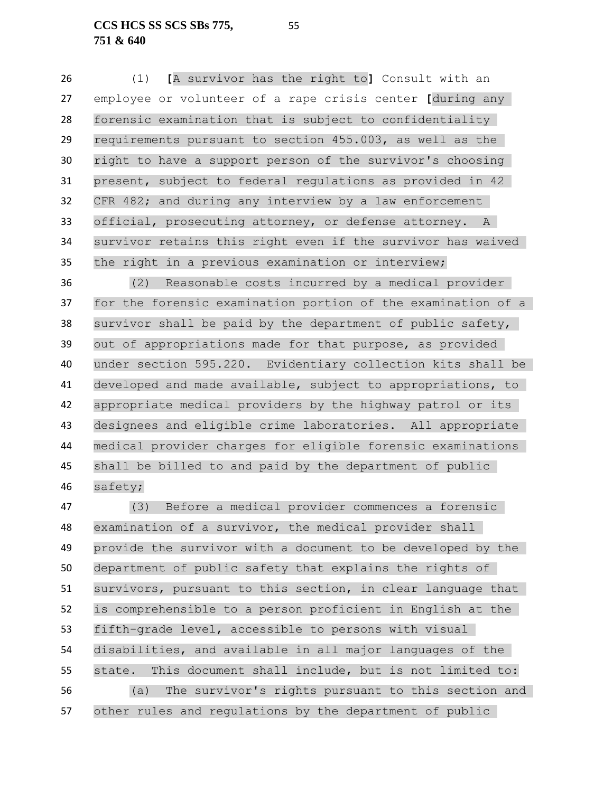(1) **[**A survivor has the right to**]** Consult with an employee or volunteer of a rape crisis center **[**during any forensic examination that is subject to confidentiality requirements pursuant to section 455.003, as well as the right to have a support person of the survivor's choosing present, subject to federal regulations as provided in 42 CFR 482; and during any interview by a law enforcement official, prosecuting attorney, or defense attorney. A survivor retains this right even if the survivor has waived the right in a previous examination or interview;

 (2) Reasonable costs incurred by a medical provider for the forensic examination portion of the examination of a survivor shall be paid by the department of public safety, out of appropriations made for that purpose, as provided under section 595.220. Evidentiary collection kits shall be developed and made available, subject to appropriations, to appropriate medical providers by the highway patrol or its designees and eligible crime laboratories. All appropriate medical provider charges for eligible forensic examinations shall be billed to and paid by the department of public safety;

 (3) Before a medical provider commences a forensic examination of a survivor, the medical provider shall provide the survivor with a document to be developed by the department of public safety that explains the rights of survivors, pursuant to this section, in clear language that is comprehensible to a person proficient in English at the fifth-grade level, accessible to persons with visual disabilities, and available in all major languages of the state. This document shall include, but is not limited to: (a) The survivor's rights pursuant to this section and other rules and regulations by the department of public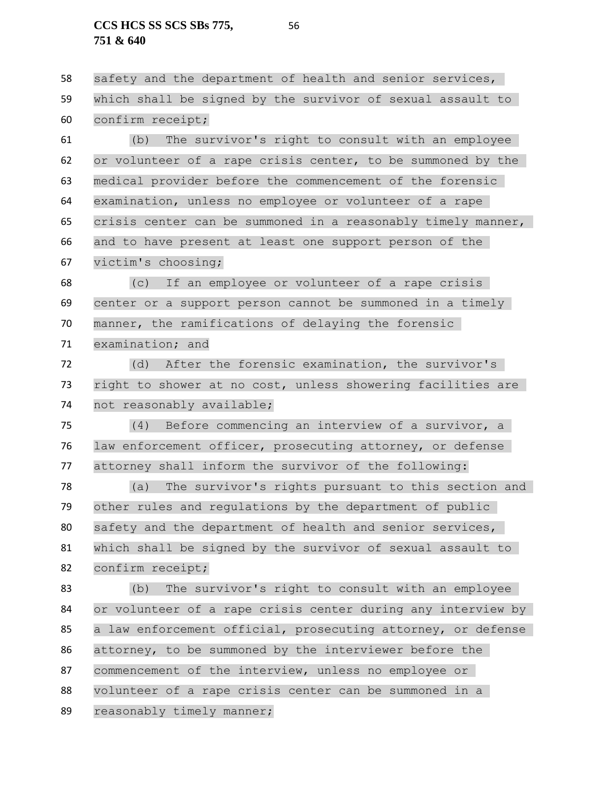safety and the department of health and senior services, which shall be signed by the survivor of sexual assault to confirm receipt; (b) The survivor's right to consult with an employee or volunteer of a rape crisis center, to be summoned by the medical provider before the commencement of the forensic examination, unless no employee or volunteer of a rape crisis center can be summoned in a reasonably timely manner, and to have present at least one support person of the victim's choosing; (c) If an employee or volunteer of a rape crisis center or a support person cannot be summoned in a timely manner, the ramifications of delaying the forensic examination; and (d) After the forensic examination, the survivor's right to shower at no cost, unless showering facilities are not reasonably available; (4) Before commencing an interview of a survivor, a law enforcement officer, prosecuting attorney, or defense attorney shall inform the survivor of the following: (a) The survivor's rights pursuant to this section and other rules and regulations by the department of public safety and the department of health and senior services, which shall be signed by the survivor of sexual assault to confirm receipt; (b) The survivor's right to consult with an employee or volunteer of a rape crisis center during any interview by a law enforcement official, prosecuting attorney, or defense attorney, to be summoned by the interviewer before the commencement of the interview, unless no employee or volunteer of a rape crisis center can be summoned in a

reasonably timely manner;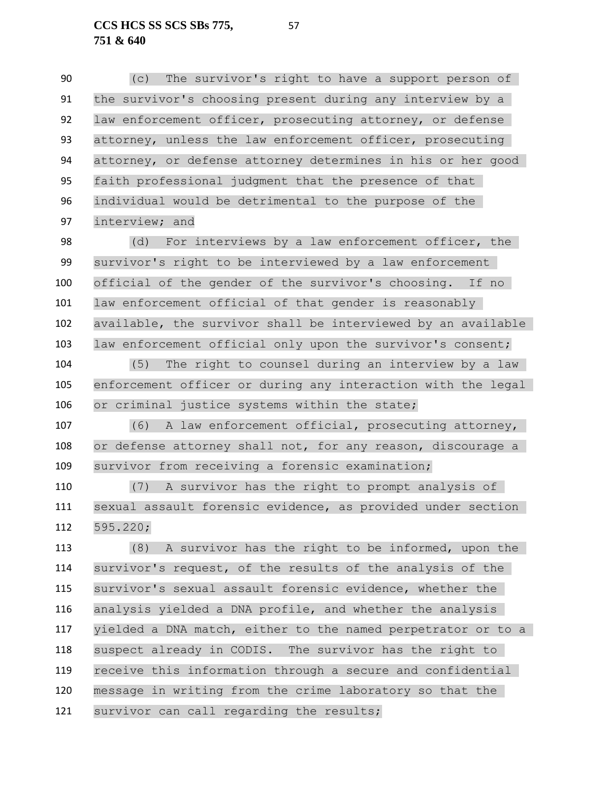(c) The survivor's right to have a support person of 91 the survivor's choosing present during any interview by a law enforcement officer, prosecuting attorney, or defense 93 attorney, unless the law enforcement officer, prosecuting attorney, or defense attorney determines in his or her good faith professional judgment that the presence of that individual would be detrimental to the purpose of the interview; and

 (d) For interviews by a law enforcement officer, the survivor's right to be interviewed by a law enforcement official of the gender of the survivor's choosing. If no 101 law enforcement official of that gender is reasonably available, the survivor shall be interviewed by an available law enforcement official only upon the survivor's consent;

 (5) The right to counsel during an interview by a law enforcement officer or during any interaction with the legal or criminal justice systems within the state;

 (6) A law enforcement official, prosecuting attorney, or defense attorney shall not, for any reason, discourage a survivor from receiving a forensic examination;

 (7) A survivor has the right to prompt analysis of sexual assault forensic evidence, as provided under section 595.220;

 (8) A survivor has the right to be informed, upon the survivor's request, of the results of the analysis of the survivor's sexual assault forensic evidence, whether the analysis yielded a DNA profile, and whether the analysis yielded a DNA match, either to the named perpetrator or to a suspect already in CODIS. The survivor has the right to receive this information through a secure and confidential message in writing from the crime laboratory so that the 121 survivor can call regarding the results;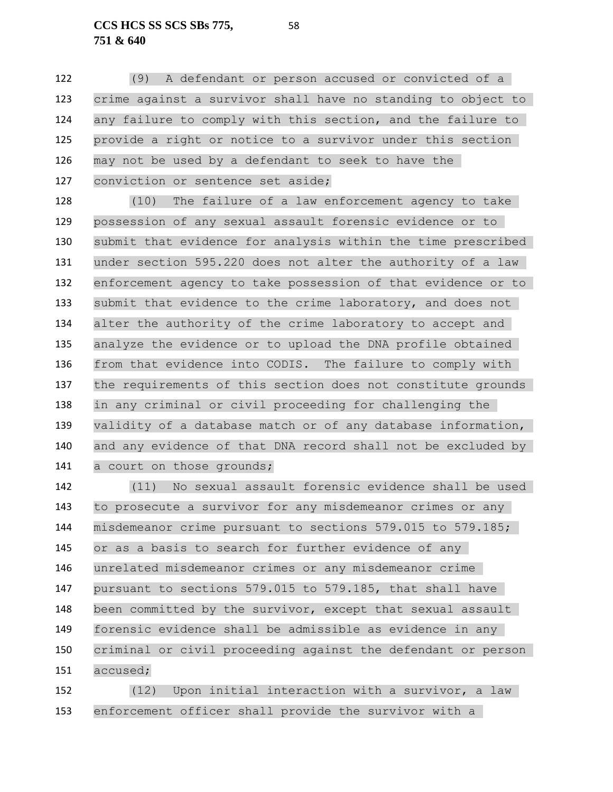(9) A defendant or person accused or convicted of a crime against a survivor shall have no standing to object to any failure to comply with this section, and the failure to provide a right or notice to a survivor under this section may not be used by a defendant to seek to have the conviction or sentence set aside;

 (10) The failure of a law enforcement agency to take possession of any sexual assault forensic evidence or to submit that evidence for analysis within the time prescribed under section 595.220 does not alter the authority of a law enforcement agency to take possession of that evidence or to submit that evidence to the crime laboratory, and does not alter the authority of the crime laboratory to accept and analyze the evidence or to upload the DNA profile obtained from that evidence into CODIS. The failure to comply with the requirements of this section does not constitute grounds in any criminal or civil proceeding for challenging the validity of a database match or of any database information, and any evidence of that DNA record shall not be excluded by 141 a court on those grounds;

 (11) No sexual assault forensic evidence shall be used 143 to prosecute a survivor for any misdemeanor crimes or any misdemeanor crime pursuant to sections 579.015 to 579.185; or as a basis to search for further evidence of any unrelated misdemeanor crimes or any misdemeanor crime pursuant to sections 579.015 to 579.185, that shall have been committed by the survivor, except that sexual assault forensic evidence shall be admissible as evidence in any criminal or civil proceeding against the defendant or person accused;

 (12) Upon initial interaction with a survivor, a law enforcement officer shall provide the survivor with a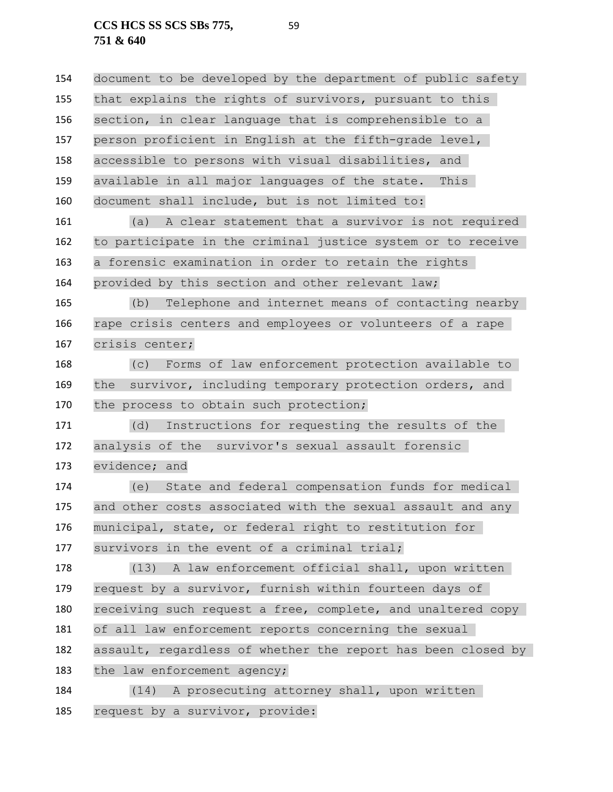**CCS HCS SS SCS SBs 775,** 59 **751 & 640**

 document to be developed by the department of public safety that explains the rights of survivors, pursuant to this section, in clear language that is comprehensible to a person proficient in English at the fifth-grade level, accessible to persons with visual disabilities, and available in all major languages of the state. This document shall include, but is not limited to: (a) A clear statement that a survivor is not required to participate in the criminal justice system or to receive a forensic examination in order to retain the rights provided by this section and other relevant law; (b) Telephone and internet means of contacting nearby rape crisis centers and employees or volunteers of a rape crisis center; (c) Forms of law enforcement protection available to the survivor, including temporary protection orders, and 170 the process to obtain such protection; (d) Instructions for requesting the results of the analysis of the survivor's sexual assault forensic evidence; and (e) State and federal compensation funds for medical and other costs associated with the sexual assault and any municipal, state, or federal right to restitution for survivors in the event of a criminal trial; (13) A law enforcement official shall, upon written request by a survivor, furnish within fourteen days of 180 receiving such request a free, complete, and unaltered copy of all law enforcement reports concerning the sexual assault, regardless of whether the report has been closed by 183 the law enforcement agency; (14) A prosecuting attorney shall, upon written request by a survivor, provide: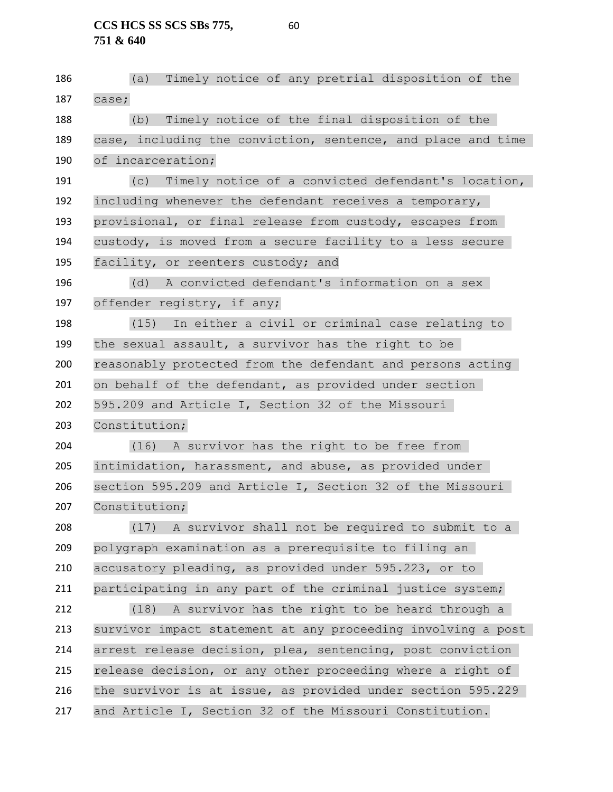(a) Timely notice of any pretrial disposition of the case; (b) Timely notice of the final disposition of the case, including the conviction, sentence, and place and time of incarceration; (c) Timely notice of a convicted defendant's location, including whenever the defendant receives a temporary, provisional, or final release from custody, escapes from custody, is moved from a secure facility to a less secure 195 facility, or reenters custody; and (d) A convicted defendant's information on a sex offender registry, if any; (15) In either a civil or criminal case relating to the sexual assault, a survivor has the right to be reasonably protected from the defendant and persons acting on behalf of the defendant, as provided under section 595.209 and Article I, Section 32 of the Missouri Constitution; (16) A survivor has the right to be free from intimidation, harassment, and abuse, as provided under section 595.209 and Article I, Section 32 of the Missouri 207 Constitution; (17) A survivor shall not be required to submit to a polygraph examination as a prerequisite to filing an accusatory pleading, as provided under 595.223, or to participating in any part of the criminal justice system; (18) A survivor has the right to be heard through a survivor impact statement at any proceeding involving a post arrest release decision, plea, sentencing, post conviction release decision, or any other proceeding where a right of the survivor is at issue, as provided under section 595.229 and Article I, Section 32 of the Missouri Constitution.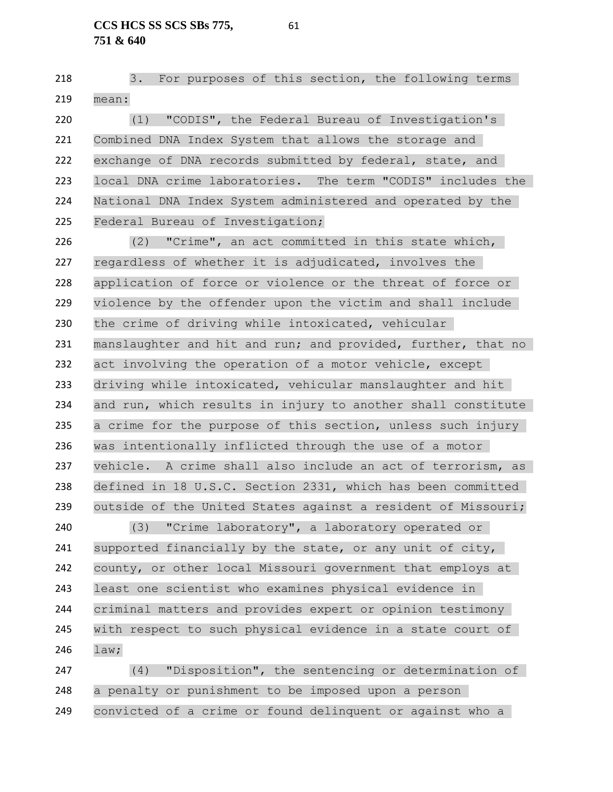3. For purposes of this section, the following terms mean:

 (1) "CODIS", the Federal Bureau of Investigation's Combined DNA Index System that allows the storage and exchange of DNA records submitted by federal, state, and local DNA crime laboratories. The term "CODIS" includes the National DNA Index System administered and operated by the Federal Bureau of Investigation;

 (2) "Crime", an act committed in this state which, regardless of whether it is adjudicated, involves the application of force or violence or the threat of force or violence by the offender upon the victim and shall include the crime of driving while intoxicated, vehicular manslaughter and hit and run; and provided, further, that no act involving the operation of a motor vehicle, except driving while intoxicated, vehicular manslaughter and hit and run, which results in injury to another shall constitute a crime for the purpose of this section, unless such injury was intentionally inflicted through the use of a motor vehicle. A crime shall also include an act of terrorism, as defined in 18 U.S.C. Section 2331, which has been committed outside of the United States against a resident of Missouri;

 (3) "Crime laboratory", a laboratory operated or supported financially by the state, or any unit of city, county, or other local Missouri government that employs at least one scientist who examines physical evidence in criminal matters and provides expert or opinion testimony with respect to such physical evidence in a state court of law;

 (4) "Disposition", the sentencing or determination of a penalty or punishment to be imposed upon a person convicted of a crime or found delinquent or against who a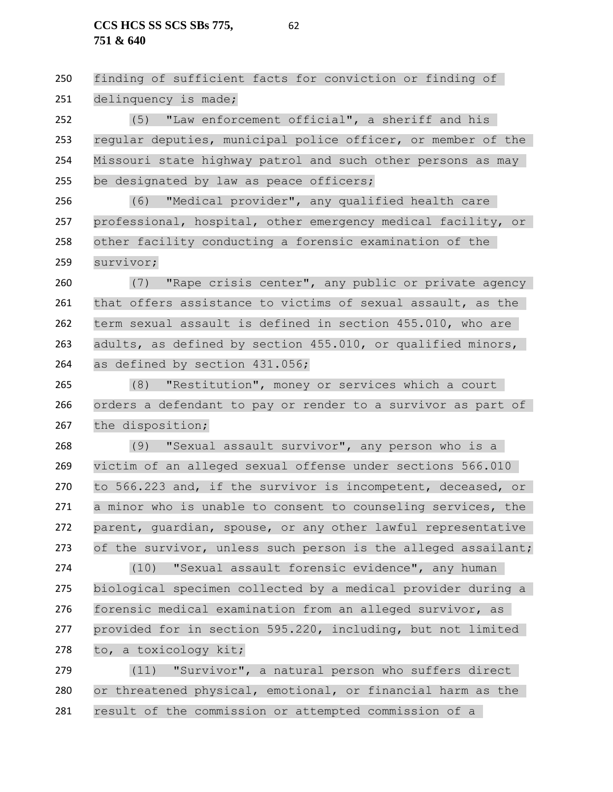finding of sufficient facts for conviction or finding of delinquency is made;

 (5) "Law enforcement official", a sheriff and his regular deputies, municipal police officer, or member of the Missouri state highway patrol and such other persons as may 255 be designated by law as peace officers;

 (6) "Medical provider", any qualified health care professional, hospital, other emergency medical facility, or other facility conducting a forensic examination of the survivor;

 (7) "Rape crisis center", any public or private agency that offers assistance to victims of sexual assault, as the term sexual assault is defined in section 455.010, who are adults, as defined by section 455.010, or qualified minors, 264 as defined by section 431.056;

 (8) "Restitution", money or services which a court orders a defendant to pay or render to a survivor as part of the disposition;

 (9) "Sexual assault survivor", any person who is a victim of an alleged sexual offense under sections 566.010 to 566.223 and, if the survivor is incompetent, deceased, or a minor who is unable to consent to counseling services, the parent, guardian, spouse, or any other lawful representative 273 of the survivor, unless such person is the alleged assailant;

 (10) "Sexual assault forensic evidence", any human biological specimen collected by a medical provider during a forensic medical examination from an alleged survivor, as provided for in section 595.220, including, but not limited to, a toxicology kit;

 (11) "Survivor", a natural person who suffers direct or threatened physical, emotional, or financial harm as the result of the commission or attempted commission of a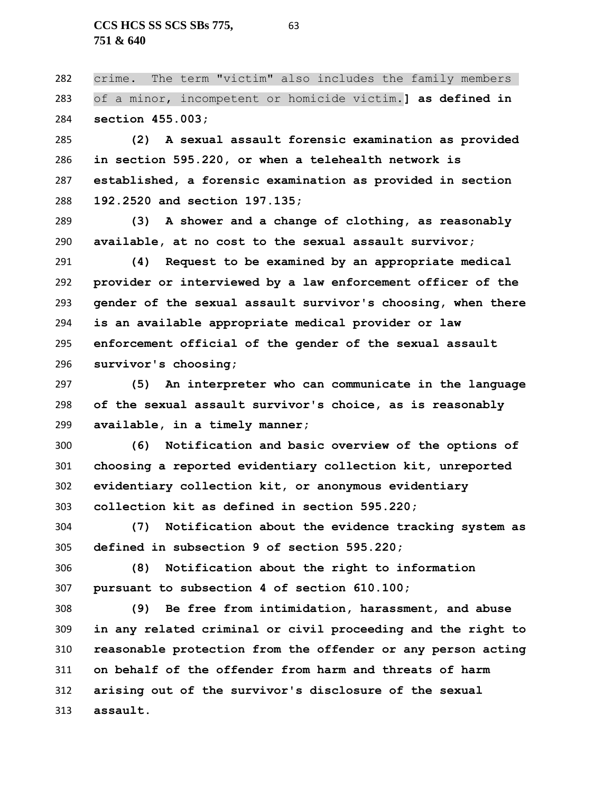crime. The term "victim" also includes the family members of a minor, incompetent or homicide victim.**] as defined in section 455.003;**

 **(2) A sexual assault forensic examination as provided in section 595.220, or when a telehealth network is established, a forensic examination as provided in section 192.2520 and section 197.135;**

 **(3) A shower and a change of clothing, as reasonably available, at no cost to the sexual assault survivor;**

 **(4) Request to be examined by an appropriate medical provider or interviewed by a law enforcement officer of the gender of the sexual assault survivor's choosing, when there is an available appropriate medical provider or law enforcement official of the gender of the sexual assault survivor's choosing;**

 **(5) An interpreter who can communicate in the language of the sexual assault survivor's choice, as is reasonably available, in a timely manner;**

 **(6) Notification and basic overview of the options of choosing a reported evidentiary collection kit, unreported evidentiary collection kit, or anonymous evidentiary collection kit as defined in section 595.220;**

 **(7) Notification about the evidence tracking system as defined in subsection 9 of section 595.220;**

 **(8) Notification about the right to information pursuant to subsection 4 of section 610.100;**

 **(9) Be free from intimidation, harassment, and abuse in any related criminal or civil proceeding and the right to reasonable protection from the offender or any person acting on behalf of the offender from harm and threats of harm arising out of the survivor's disclosure of the sexual assault.**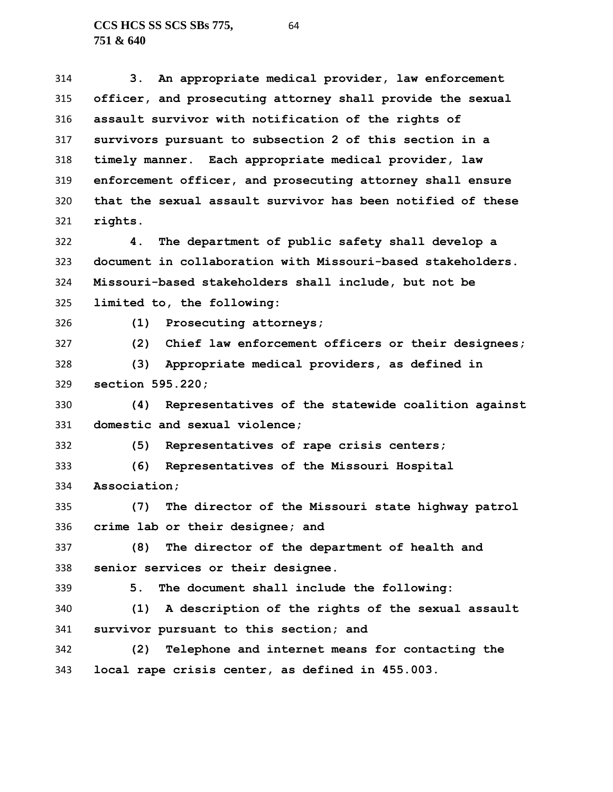**3. An appropriate medical provider, law enforcement officer, and prosecuting attorney shall provide the sexual assault survivor with notification of the rights of survivors pursuant to subsection 2 of this section in a timely manner. Each appropriate medical provider, law enforcement officer, and prosecuting attorney shall ensure that the sexual assault survivor has been notified of these rights.**

 **4. The department of public safety shall develop a document in collaboration with Missouri-based stakeholders. Missouri-based stakeholders shall include, but not be limited to, the following:**

**(1) Prosecuting attorneys;**

**(2) Chief law enforcement officers or their designees;**

 **(3) Appropriate medical providers, as defined in section 595.220;**

 **(4) Representatives of the statewide coalition against domestic and sexual violence;**

**(5) Representatives of rape crisis centers;**

 **(6) Representatives of the Missouri Hospital Association;**

 **(7) The director of the Missouri state highway patrol crime lab or their designee; and**

 **(8) The director of the department of health and senior services or their designee.**

**5. The document shall include the following:**

 **(1) A description of the rights of the sexual assault survivor pursuant to this section; and**

 **(2) Telephone and internet means for contacting the local rape crisis center, as defined in 455.003.**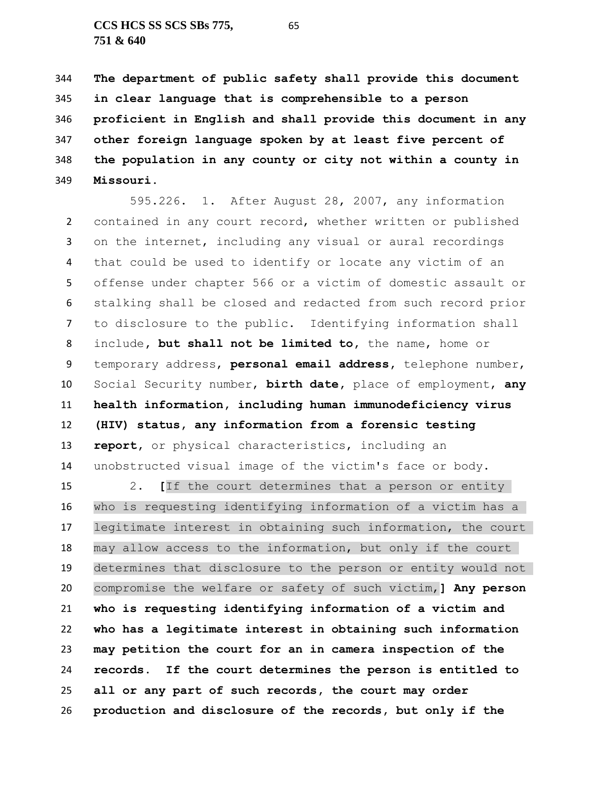**The department of public safety shall provide this document in clear language that is comprehensible to a person proficient in English and shall provide this document in any other foreign language spoken by at least five percent of the population in any county or city not within a county in Missouri.**

595.226. 1. After August 28, 2007, any information contained in any court record, whether written or published on the internet, including any visual or aural recordings that could be used to identify or locate any victim of an offense under chapter 566 or a victim of domestic assault or stalking shall be closed and redacted from such record prior to disclosure to the public. Identifying information shall include**, but shall not be limited to,** the name, home or temporary address, **personal email address,** telephone number, Social Security number, **birth date,** place of employment, **any health information, including human immunodeficiency virus (HIV) status, any information from a forensic testing report,** or physical characteristics, including an unobstructed visual image of the victim's face or body.

 2. **[**If the court determines that a person or entity who is requesting identifying information of a victim has a legitimate interest in obtaining such information, the court may allow access to the information, but only if the court determines that disclosure to the person or entity would not compromise the welfare or safety of such victim,**] Any person who is requesting identifying information of a victim and who has a legitimate interest in obtaining such information may petition the court for an in camera inspection of the records. If the court determines the person is entitled to all or any part of such records, the court may order production and disclosure of the records, but only if the**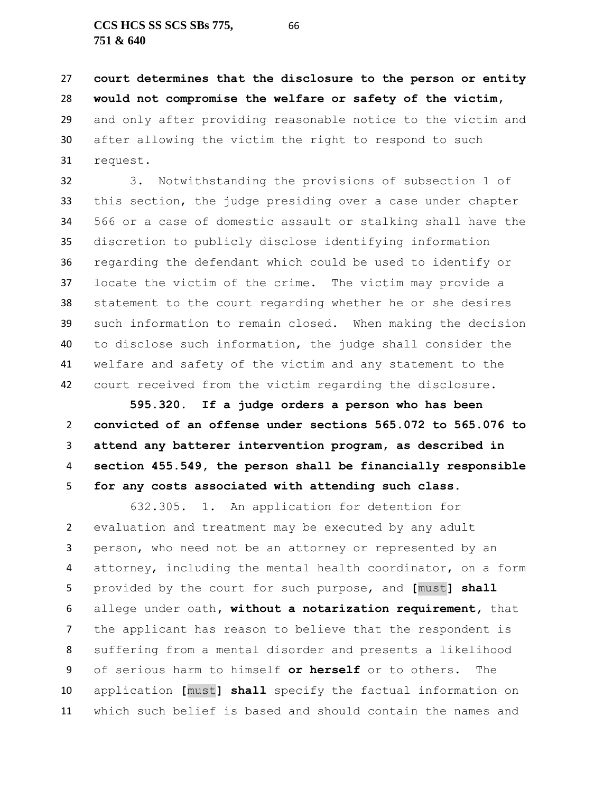**court determines that the disclosure to the person or entity would not compromise the welfare or safety of the victim,** and only after providing reasonable notice to the victim and after allowing the victim the right to respond to such request.

 3. Notwithstanding the provisions of subsection 1 of this section, the judge presiding over a case under chapter 566 or a case of domestic assault or stalking shall have the discretion to publicly disclose identifying information regarding the defendant which could be used to identify or locate the victim of the crime. The victim may provide a statement to the court regarding whether he or she desires such information to remain closed. When making the decision to disclose such information, the judge shall consider the welfare and safety of the victim and any statement to the court received from the victim regarding the disclosure.

 **595.320. If a judge orders a person who has been convicted of an offense under sections 565.072 to 565.076 to attend any batterer intervention program, as described in section 455.549, the person shall be financially responsible for any costs associated with attending such class.**

 632.305. 1. An application for detention for evaluation and treatment may be executed by any adult person, who need not be an attorney or represented by an attorney, including the mental health coordinator, on a form provided by the court for such purpose, and **[**must**] shall** allege under oath**, without a notarization requirement,** that the applicant has reason to believe that the respondent is suffering from a mental disorder and presents a likelihood of serious harm to himself **or herself** or to others. The application **[**must**] shall** specify the factual information on which such belief is based and should contain the names and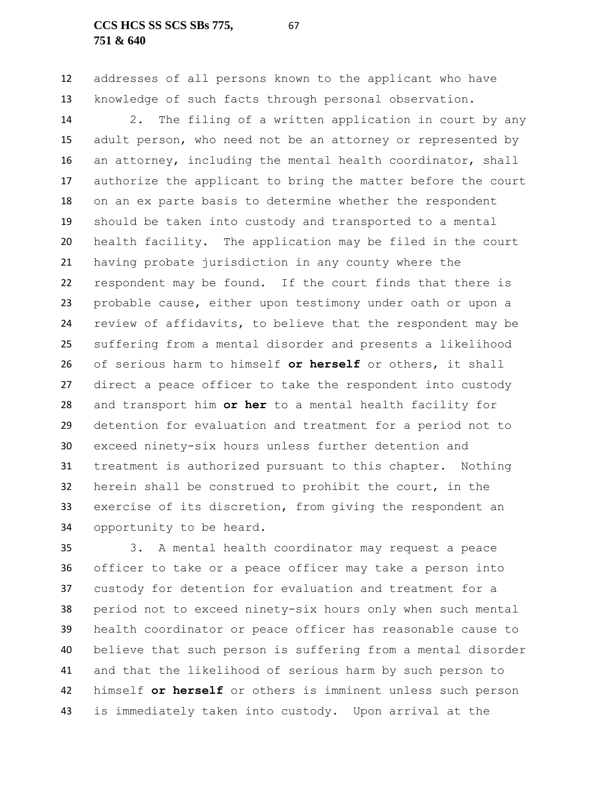addresses of all persons known to the applicant who have knowledge of such facts through personal observation.

 2. The filing of a written application in court by any adult person, who need not be an attorney or represented by an attorney, including the mental health coordinator, shall authorize the applicant to bring the matter before the court on an ex parte basis to determine whether the respondent should be taken into custody and transported to a mental health facility. The application may be filed in the court having probate jurisdiction in any county where the respondent may be found. If the court finds that there is probable cause, either upon testimony under oath or upon a review of affidavits, to believe that the respondent may be suffering from a mental disorder and presents a likelihood of serious harm to himself **or herself** or others, it shall direct a peace officer to take the respondent into custody and transport him **or her** to a mental health facility for detention for evaluation and treatment for a period not to exceed ninety-six hours unless further detention and treatment is authorized pursuant to this chapter. Nothing herein shall be construed to prohibit the court, in the exercise of its discretion, from giving the respondent an opportunity to be heard.

 3. A mental health coordinator may request a peace officer to take or a peace officer may take a person into custody for detention for evaluation and treatment for a period not to exceed ninety-six hours only when such mental health coordinator or peace officer has reasonable cause to believe that such person is suffering from a mental disorder and that the likelihood of serious harm by such person to himself **or herself** or others is imminent unless such person is immediately taken into custody. Upon arrival at the